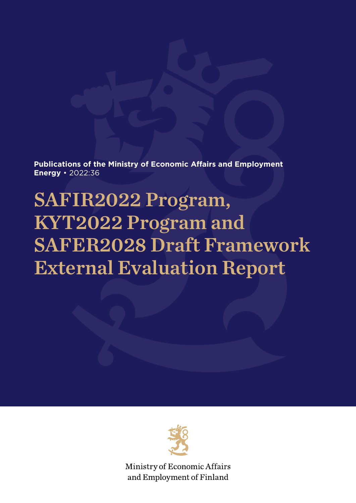**Publications of the Ministry of Economic Affairs and Employment Energy** • 2022:36

# SAFIR2022 Program, KYT2022 Program and SAFER2028 Draft Framework External Evaluation Report



Ministry of Economic Affairs and Employment of Finland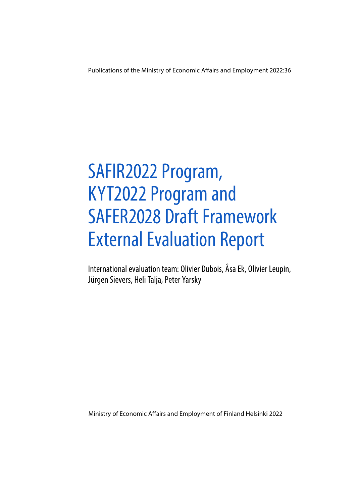Publications of the Ministry of Economic Affairs and Employment 2022:36

# SAFIR2022 Program, KYT2022 Program and SAFER2028 Draft Framework External Evaluation Report

International evaluation team: Olivier Dubois, Åsa Ek, Olivier Leupin, Jürgen Sievers, Heli Talja, Peter Yarsky

Ministry of Economic Affairs and Employment of Finland Helsinki 2022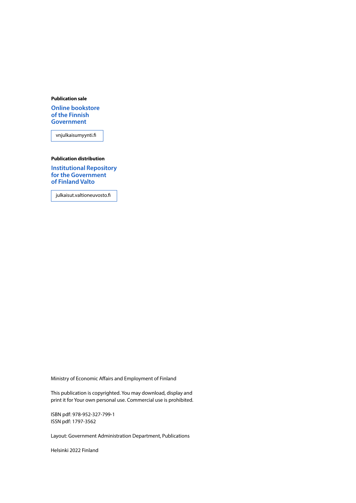#### **Publication sale**

**[Online bookstore](https://vnjulkaisumyynti.fi/)  of the Finnish Government**

vnjulkaisumyynti.fi

### **Publication distribution**

**[Institutional Repository](https://julkaisut.valtioneuvosto.fi/) for the Government of Finland Valto**

julkaisut.valtioneuvosto.fi

Ministry of Economic Affairs and Employment of Finland

This publication is copyrighted. You may download, display and print it for Your own personal use. Commercial use is prohibited.

ISBN pdf: 978-952-327-799-1 ISSN pdf: 1797-3562

Layout: Government Administration Department, Publications

Helsinki 2022 Finland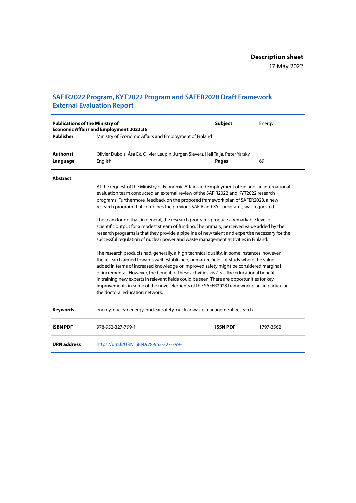### **SAFIR2022 Program, KYT2022 Program and SAFER2028 Draft Framework External Evaluation Report**

| <b>Publications of the Ministry of</b><br><b>Publisher</b> | <b>Economic Affairs and Employment 2022:36</b><br>Ministry of Economic Affairs and Employment of Finland                                                                                                                                                                                                                                                                                                                                                                                                                                                                                                                                                                                                                                                                                                                                                                                                                                                                                                                                                                                                                                                                                                                                                                                                                                                      | <b>Subject</b>  | Energy    |
|------------------------------------------------------------|---------------------------------------------------------------------------------------------------------------------------------------------------------------------------------------------------------------------------------------------------------------------------------------------------------------------------------------------------------------------------------------------------------------------------------------------------------------------------------------------------------------------------------------------------------------------------------------------------------------------------------------------------------------------------------------------------------------------------------------------------------------------------------------------------------------------------------------------------------------------------------------------------------------------------------------------------------------------------------------------------------------------------------------------------------------------------------------------------------------------------------------------------------------------------------------------------------------------------------------------------------------------------------------------------------------------------------------------------------------|-----------------|-----------|
| Author(s)<br>Language                                      | Olivier Dubois, Åsa Ek, Olivier Leupin, Jürgen Sievers, Heli Talja, Peter Yarsky<br>English                                                                                                                                                                                                                                                                                                                                                                                                                                                                                                                                                                                                                                                                                                                                                                                                                                                                                                                                                                                                                                                                                                                                                                                                                                                                   | <b>Pages</b>    | 69        |
| <b>Abstract</b>                                            | At the request of the Ministry of Economic Affairs and Employment of Finland, an international<br>evaluation team conducted an external review of the SAFIR2022 and KYT2022 research<br>programs. Furthermore, feedback on the proposed framework plan of SAFER2028, a new<br>research program that combines the previous SAFIR and KYT programs, was requested.<br>The team found that, in general, the research programs produce a remarkable level of<br>scientific output for a modest stream of funding. The primary, perceived value added by the<br>research programs is that they provide a pipeline of new talent and expertise necessary for the<br>successful regulation of nuclear power and waste management activities in Finland.<br>The research products had, generally, a high technical quality. In some instances, however,<br>the research aimed towards well-established, or mature fields of study where the value<br>added in terms of increased knowledge or improved safety might be considered marginal<br>or incremental. However, the benefit of these activities vis-à-vis the educational benefit<br>in training new experts in relevant fields could be seen. There are opportunities for key<br>improvements in some of the novel elements of the SAFER2028 framework plan, in particular<br>the doctoral education network. |                 |           |
| <b>Keywords</b>                                            | energy, nuclear energy, nuclear safety, nuclear waste management, research                                                                                                                                                                                                                                                                                                                                                                                                                                                                                                                                                                                                                                                                                                                                                                                                                                                                                                                                                                                                                                                                                                                                                                                                                                                                                    |                 |           |
| <b>ISBN PDF</b>                                            | 978-952-327-799-1                                                                                                                                                                                                                                                                                                                                                                                                                                                                                                                                                                                                                                                                                                                                                                                                                                                                                                                                                                                                                                                                                                                                                                                                                                                                                                                                             | <b>ISSN PDF</b> | 1797-3562 |
| <b>URN</b> address                                         | https://urn.fi/URN:ISBN:978-952-327-799-1                                                                                                                                                                                                                                                                                                                                                                                                                                                                                                                                                                                                                                                                                                                                                                                                                                                                                                                                                                                                                                                                                                                                                                                                                                                                                                                     |                 |           |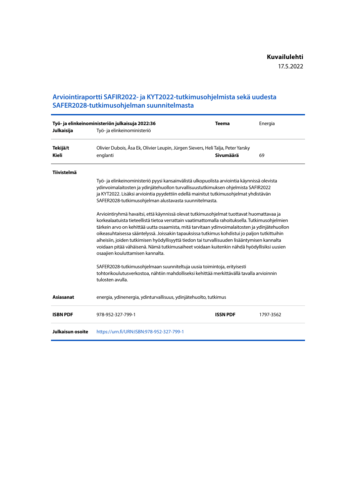### **Arviointiraportti SAFIR2022- ja KYT2022-tutkimusohjelmista sekä uudesta SAFER2028-tutkimusohjelman suunnitelmasta**

| Julkaisija         | Työ- ja elinkeinoministeriön julkaisuja 2022:36<br>Työ- ja elinkeinoministeriö                                                                                                                                                                                                                                                                                                                                                                                                                                                                                                                                                  | <b>Teema</b>    | Energia   |
|--------------------|---------------------------------------------------------------------------------------------------------------------------------------------------------------------------------------------------------------------------------------------------------------------------------------------------------------------------------------------------------------------------------------------------------------------------------------------------------------------------------------------------------------------------------------------------------------------------------------------------------------------------------|-----------------|-----------|
| Tekijä/t<br>Kieli  | Olivier Dubois, Åsa Ek, Olivier Leupin, Jürgen Sievers, Heli Talja, Peter Yarsky<br>englanti                                                                                                                                                                                                                                                                                                                                                                                                                                                                                                                                    | Sivumäärä       | 69        |
| <b>Tiivistelmä</b> | Työ- ja elinkeinoministeriö pyysi kansainvälistä ulkopuolista arviointia käynnissä olevista                                                                                                                                                                                                                                                                                                                                                                                                                                                                                                                                     |                 |           |
|                    | ydinvoimalaitosten ja ydinjätehuollon turvallisuustutkimuksen ohjelmista SAFIR2022<br>ja KYT2022. Lisäksi arviointia pyydettiin edellä mainitut tutkimusohjelmat yhdistävän<br>SAFER2028-tutkimusohjelman alustavasta suunnitelmasta.                                                                                                                                                                                                                                                                                                                                                                                           |                 |           |
|                    | Arviointiryhmä havaitsi, että käynnissä olevat tutkimusohjelmat tuottavat huomattavaa ja<br>korkealaatuista tieteellistä tietoa verrattain vaatimattomalla rahoituksella. Tutkimusohjelmien<br>tärkein arvo on kehittää uutta osaamista, mitä tarvitaan ydinvoimalaitosten ja ydinjätehuollon<br>oikeasuhtaisessa sääntelyssä. Joissakin tapauksissa tutkimus kohdistui jo paljon tutkittuihin<br>aiheisiin, joiden tutkimisen hyödyllisyyttä tiedon tai turvallisuuden lisääntymisen kannalta<br>voidaan pitää vähäisenä. Nämä tutkimusaiheet voidaan kuitenkin nähdä hyödyllisiksi uusien<br>osaajien kouluttamisen kannalta. |                 |           |
|                    | SAFER2028-tutkimusohjelmaan suunniteltuja uusia toimintoja, erityisesti<br>tohtorikoulutusverkostoa, nähtiin mahdolliseksi kehittää merkittävällä tavalla arvioinnin<br>tulosten avulla.                                                                                                                                                                                                                                                                                                                                                                                                                                        |                 |           |
| <b>Asiasanat</b>   | energia, ydinenergia, ydinturvallisuus, ydinjätehuolto, tutkimus                                                                                                                                                                                                                                                                                                                                                                                                                                                                                                                                                                |                 |           |
| <b>ISBN PDF</b>    | 978-952-327-799-1                                                                                                                                                                                                                                                                                                                                                                                                                                                                                                                                                                                                               | <b>ISSN PDF</b> | 1797-3562 |
| Julkaisun osoite   | https://urn.fi/URN:ISBN:978-952-327-799-1                                                                                                                                                                                                                                                                                                                                                                                                                                                                                                                                                                                       |                 |           |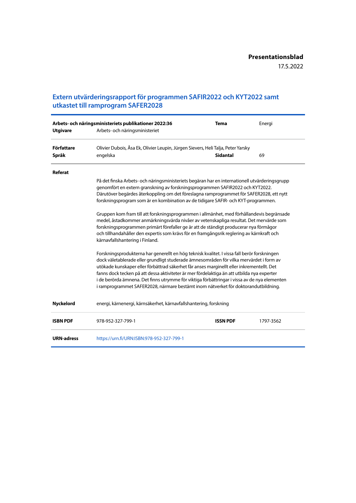### **Extern utvärderingsrapport för programmen SAFIR2022 och KYT2022 samt utkastet till ramprogram SAFER2028**

|                   | Arbets- och näringsministeriets publikationer 2022:36                                                                                                                                                                                                                                                                                                                                                                                                                                                                                                                                                                                                                                                                                                                                                                                                                                                                                                                                                                                                                                                                                                                                                                                                                                                                                                     | <b>Tema</b>     | Energi    |
|-------------------|-----------------------------------------------------------------------------------------------------------------------------------------------------------------------------------------------------------------------------------------------------------------------------------------------------------------------------------------------------------------------------------------------------------------------------------------------------------------------------------------------------------------------------------------------------------------------------------------------------------------------------------------------------------------------------------------------------------------------------------------------------------------------------------------------------------------------------------------------------------------------------------------------------------------------------------------------------------------------------------------------------------------------------------------------------------------------------------------------------------------------------------------------------------------------------------------------------------------------------------------------------------------------------------------------------------------------------------------------------------|-----------------|-----------|
| <b>Utgivare</b>   | Arbets- och näringsministeriet                                                                                                                                                                                                                                                                                                                                                                                                                                                                                                                                                                                                                                                                                                                                                                                                                                                                                                                                                                                                                                                                                                                                                                                                                                                                                                                            |                 |           |
| Författare        | Olivier Dubois, Åsa Ek, Olivier Leupin, Jürgen Sievers, Heli Talja, Peter Yarsky                                                                                                                                                                                                                                                                                                                                                                                                                                                                                                                                                                                                                                                                                                                                                                                                                                                                                                                                                                                                                                                                                                                                                                                                                                                                          |                 |           |
| Språk             | engelska                                                                                                                                                                                                                                                                                                                                                                                                                                                                                                                                                                                                                                                                                                                                                                                                                                                                                                                                                                                                                                                                                                                                                                                                                                                                                                                                                  | <b>Sidantal</b> | 69        |
| Referat           |                                                                                                                                                                                                                                                                                                                                                                                                                                                                                                                                                                                                                                                                                                                                                                                                                                                                                                                                                                                                                                                                                                                                                                                                                                                                                                                                                           |                 |           |
|                   | På det finska Arbets- och näringsministeriets begäran har en internationell utvärderingsgrupp<br>genomfört en extern granskning av forskningsprogrammen SAFIR2022 och KYT2022.<br>Därutöver begärdes återkoppling om det föreslagna ramprogrammet för SAFER2028, ett nytt<br>forskningsprogram som är en kombination av de tidigare SAFIR- och KYT-programmen.<br>Gruppen kom fram till att forskningsprogrammen i allmänhet, med förhållandevis begränsade<br>medel, åstadkommer anmärkningsvärda nivåer av vetenskapliga resultat. Det mervärde som<br>forskningsprogrammen primärt förefaller ge är att de ständigt producerar nya förmågor<br>och tillhandahåller den expertis som krävs för en framgångsrik reglering av kärnkraft och<br>kärnavfallshantering i Finland.<br>Forskningsprodukterna har generellt en hög teknisk kvalitet. I vissa fall berör forskningen<br>dock väletablerade eller grundligt studerade ämnesområden för vilka mervärdet i form av<br>utökade kunskaper eller förbättrad säkerhet får anses marginellt eller inkrementellt. Det<br>fanns dock tecken på att dessa aktiviteter är mer fördelaktiga än att utbilda nya experter<br>i de berörda ämnena. Det finns utrymme för viktiga förbättringar i vissa av de nya elementen<br>i ramprogrammet SAFER2028, närmare bestämt inom nätverket för doktorandutbildning. |                 |           |
| <b>Nyckelord</b>  | energi, kärnenergi, kärnsäkerhet, kärnavfallshantering, forskning                                                                                                                                                                                                                                                                                                                                                                                                                                                                                                                                                                                                                                                                                                                                                                                                                                                                                                                                                                                                                                                                                                                                                                                                                                                                                         |                 |           |
| <b>ISBN PDF</b>   | 978-952-327-799-1                                                                                                                                                                                                                                                                                                                                                                                                                                                                                                                                                                                                                                                                                                                                                                                                                                                                                                                                                                                                                                                                                                                                                                                                                                                                                                                                         | <b>ISSN PDF</b> | 1797-3562 |
| <b>URN-adress</b> | https://urn.fi/URN:ISBN:978-952-327-799-1                                                                                                                                                                                                                                                                                                                                                                                                                                                                                                                                                                                                                                                                                                                                                                                                                                                                                                                                                                                                                                                                                                                                                                                                                                                                                                                 |                 |           |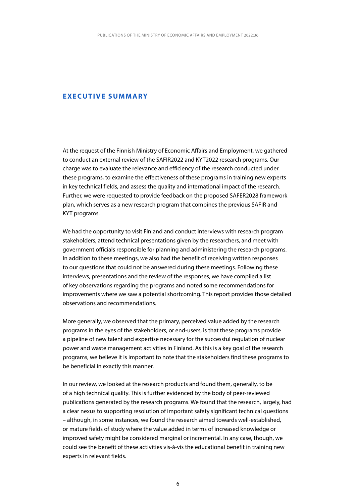### <span id="page-6-0"></span>**EXECUTIVE SUMMARY**

At the request of the Finnish Ministry of Economic Affairs and Employment, we gathered to conduct an external review of the SAFIR2022 and KYT2022 research programs. Our charge was to evaluate the relevance and efficiency of the research conducted under these programs, to examine the effectiveness of these programs in training new experts in key technical fields, and assess the quality and international impact of the research. Further, we were requested to provide feedback on the proposed SAFER2028 framework plan, which serves as a new research program that combines the previous SAFIR and KYT programs.

We had the opportunity to visit Finland and conduct interviews with research program stakeholders, attend technical presentations given by the researchers, and meet with government officials responsible for planning and administering the research programs. In addition to these meetings, we also had the benefit of receiving written responses to our questions that could not be answered during these meetings. Following these interviews, presentations and the review of the responses, we have compiled a list of key observations regarding the programs and noted some recommendations for improvements where we saw a potential shortcoming. This report provides those detailed observations and recommendations.

More generally, we observed that the primary, perceived value added by the research programs in the eyes of the stakeholders, or end-users, is that these programs provide a pipeline of new talent and expertise necessary for the successful regulation of nuclear power and waste management activities in Finland. As this is a key goal of the research programs, we believe it is important to note that the stakeholders find these programs to be beneficial in exactly this manner.

In our review, we looked at the research products and found them, generally, to be of a high technical quality. This is further evidenced by the body of peer-reviewed publications generated by the research programs. We found that the research, largely, had a clear nexus to supporting resolution of important safety significant technical questions – although, in some instances, we found the research aimed towards well-established, or mature fields of study where the value added in terms of increased knowledge or improved safety might be considered marginal or incremental. In any case, though, we could see the benefit of these activities vis-à-vis the educational benefit in training new experts in relevant fields.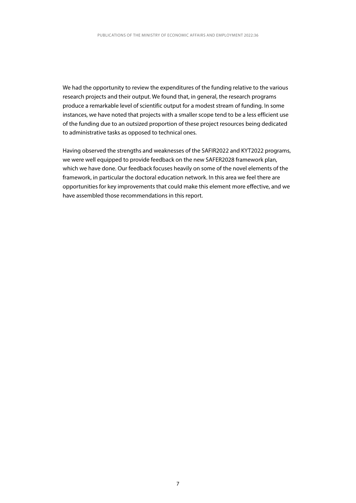We had the opportunity to review the expenditures of the funding relative to the various research projects and their output. We found that, in general, the research programs produce a remarkable level of scientific output for a modest stream of funding. In some instances, we have noted that projects with a smaller scope tend to be a less efficient use of the funding due to an outsized proportion of these project resources being dedicated to administrative tasks as opposed to technical ones.

Having observed the strengths and weaknesses of the SAFIR2022 and KYT2022 programs, we were well equipped to provide feedback on the new SAFER2028 framework plan, which we have done. Our feedback focuses heavily on some of the novel elements of the framework, in particular the doctoral education network. In this area we feel there are opportunities for key improvements that could make this element more effective, and we have assembled those recommendations in this report.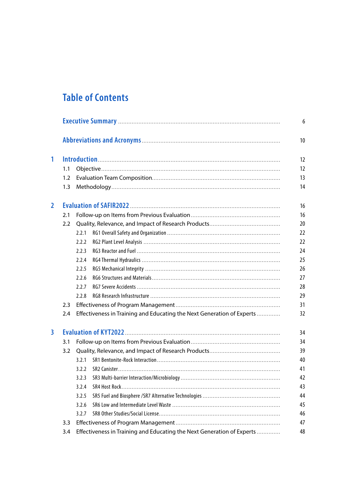## **Table of Contents**

|                  |                                                                        | 6  |
|------------------|------------------------------------------------------------------------|----|
|                  |                                                                        | 10 |
|                  |                                                                        | 12 |
| 1.1              |                                                                        | 12 |
| 1.2              |                                                                        | 13 |
| 1.3              |                                                                        | 14 |
|                  |                                                                        | 16 |
| 2.1              |                                                                        | 16 |
| $2.2\phantom{0}$ |                                                                        | 20 |
|                  | 2.2.1                                                                  | 22 |
|                  | 2.2.2                                                                  | 22 |
|                  | 2.2.3                                                                  | 24 |
|                  | 2.2.4                                                                  | 25 |
|                  | 2.2.5                                                                  | 26 |
|                  | 2.2.6                                                                  | 27 |
|                  | 2.2.7                                                                  | 28 |
|                  | 2.2.8                                                                  | 29 |
| 2.3              |                                                                        | 31 |
| 2.4              | Effectiveness in Training and Educating the Next Generation of Experts | 32 |
|                  |                                                                        | 34 |
| 3.1              |                                                                        | 34 |
| 3.2              |                                                                        | 39 |
|                  | 3 2 1                                                                  | 40 |
|                  | 3.2.2                                                                  | 41 |
|                  | 3.2.3                                                                  | 42 |
|                  |                                                                        | 43 |
|                  | 3.2.5                                                                  | 44 |
|                  | 3.2.6                                                                  | 45 |
|                  | 3.2.7                                                                  | 46 |
| 3.3              |                                                                        | 47 |
| 3.4              | Effectiveness in Training and Educating the Next Generation of Experts | 48 |
|                  |                                                                        |    |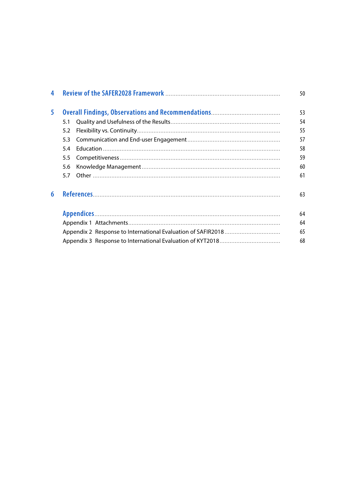| $\overline{\mathbf{4}}$ |     | 50 |
|-------------------------|-----|----|
| 5                       |     | 53 |
|                         | 5.1 | 54 |
|                         | 5.2 | 55 |
|                         | 5.3 | 57 |
|                         | 54  | 58 |
|                         | 5.5 | 59 |
|                         | 5.6 | 60 |
|                         | 5.7 | 61 |
| 6                       |     | 63 |
|                         |     | 64 |
|                         |     | 64 |
|                         |     | 65 |
|                         |     | 68 |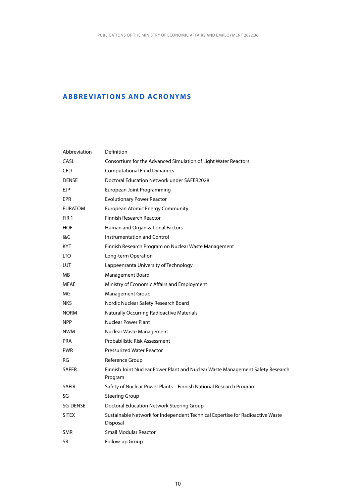### <span id="page-10-0"></span>**ABBREVIATIONS AND ACRONYMS**

| Abbreviation    | Definition                                                                                |
|-----------------|-------------------------------------------------------------------------------------------|
| CASL            | Consortium for the Advanced Simulation of Light Water Reactors                            |
| <b>CFD</b>      | <b>Computational Fluid Dynamics</b>                                                       |
| <b>DENSE</b>    | Doctoral Education Network under SAFER2028                                                |
| <b>EJP</b>      | European Joint Programming                                                                |
| EPR             | <b>Evolutionary Power Reactor</b>                                                         |
| <b>EURATOM</b>  | <b>European Atomic Energy Community</b>                                                   |
| FiR 1           | <b>Finnish Research Reactor</b>                                                           |
| <b>HOF</b>      | Human and Organizational Factors                                                          |
| I&C             | <b>Instrumentation and Control</b>                                                        |
| KYT             | Finnish Research Program on Nuclear Waste Management                                      |
| LTO             | Long-term Operation                                                                       |
| <b>LUT</b>      | Lappeenranta University of Technology                                                     |
| MВ              | Management Board                                                                          |
| <b>MEAE</b>     | Ministry of Economic Affairs and Employment                                               |
| MG              | <b>Management Group</b>                                                                   |
| NKS             | Nordic Nuclear Safety Research Board                                                      |
| <b>NORM</b>     | <b>Naturally Occurring Radioactive Materials</b>                                          |
| <b>NPP</b>      | <b>Nuclear Power Plant</b>                                                                |
| <b>NWM</b>      | Nuclear Waste Management                                                                  |
| <b>PRA</b>      | Probabilistic Risk Assessment                                                             |
| <b>PWR</b>      | <b>Pressurized Water Reactor</b>                                                          |
| RG              | Reference Group                                                                           |
| <b>SAFER</b>    | Finnish Joint Nuclear Power Plant and Nuclear Waste Management Safety Research            |
|                 | Program                                                                                   |
| <b>SAFIR</b>    | Safety of Nuclear Power Plants - Finnish National Research Program                        |
| SG              | <b>Steering Group</b>                                                                     |
| <b>SG-DENSE</b> | Doctoral Education Network Steering Group                                                 |
| <b>SITEX</b>    | Sustainable Network for Independent Technical Expertise for Radioactive Waste<br>Disposal |
| <b>SMR</b>      | <b>Small Modular Reactor</b>                                                              |
| SR              | Follow-up Group                                                                           |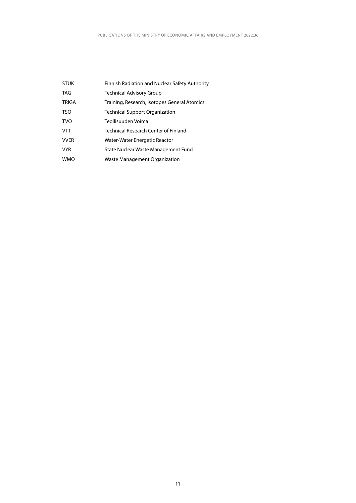| <b>STUK</b>  | Finnish Radiation and Nuclear Safety Authority |
|--------------|------------------------------------------------|
| <b>TAG</b>   | Technical Advisory Group                       |
| <b>TRIGA</b> | Training, Research, Isotopes General Atomics   |
| <b>TSO</b>   | Technical Support Organization                 |
| <b>TVO</b>   | Teollisuuden Voima                             |
| <b>VTT</b>   | Technical Research Center of Finland           |
| <b>VVER</b>  | Water-Water Energetic Reactor                  |
| <b>VYR</b>   | State Nuclear Waste Management Fund            |
| <b>WMO</b>   | Waste Management Organization                  |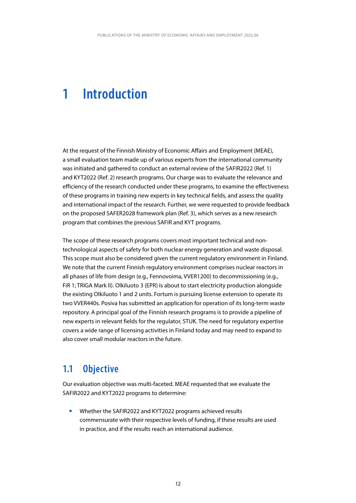## <span id="page-12-0"></span>**1 Introduction**

At the request of the Finnish Ministry of Economic Affairs and Employment (MEAE), a small evaluation team made up of various experts from the international community was initiated and gathered to conduct an external review of the SAFIR2022 (Ref. 1) and KYT2022 (Ref. 2) research programs. Our charge was to evaluate the relevance and efficiency of the research conducted under these programs, to examine the effectiveness of these programs in training new experts in key technical fields, and assess the quality and international impact of the research. Further, we were requested to provide feedback on the proposed SAFER2028 framework plan (Ref. 3), which serves as a new research program that combines the previous SAFIR and KYT programs.

The scope of these research programs covers most important technical and nontechnological aspects of safety for both nuclear energy generation and waste disposal. This scope must also be considered given the current regulatory environment in Finland. We note that the current Finnish regulatory environment comprises nuclear reactors in all phases of life from design (e.g., Fennovoima, VVER1200) to decommissioning (e.g., FiR 1; TRIGA Mark II). Olkiluoto 3 (EPR) is about to start electricity production alongside the existing Olkiluoto 1 and 2 units. Fortum is pursuing license extension to operate its two VVER440s. Posiva has submitted an application for operation of its long-term waste repository. A principal goal of the Finnish research programs is to provide a pipeline of new experts in relevant fields for the regulator, STUK. The need for regulatory expertise covers a wide range of licensing activities in Finland today and may need to expand to also cover small modular reactors in the future.

### **1.1 Objective**

Our evaluation objective was multi-faceted. MEAE requested that we evaluate the SAFIR2022 and KYT2022 programs to determine:

y Whether the SAFIR2022 and KYT2022 programs achieved results commensurate with their respective levels of funding, if these results are used in practice, and if the results reach an international audience.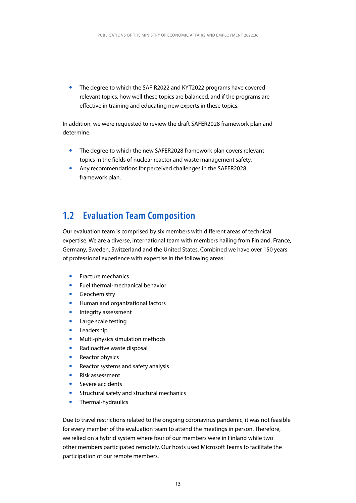<span id="page-13-0"></span>• The degree to which the SAFIR2022 and KYT2022 programs have covered relevant topics, how well these topics are balanced, and if the programs are effective in training and educating new experts in these topics.

In addition, we were requested to review the draft SAFER2028 framework plan and determine:

- The degree to which the new SAFER2028 framework plan covers relevant topics in the fields of nuclear reactor and waste management safety.
- Any recommendations for perceived challenges in the SAFER2028 framework plan.

### **1.2 Evaluation Team Composition**

Our evaluation team is comprised by six members with different areas of technical expertise. We are a diverse, international team with members hailing from Finland, France, Germany, Sweden, Switzerland and the United States. Combined we have over 150 years of professional experience with expertise in the following areas:

- Fracture mechanics
- y Fuel thermal-mechanical behavior
- Geochemistry
- Human and organizational factors
- Integrity assessment
- Large scale testing
- Leadership
- Multi-physics simulation methods
- Radioactive waste disposal
- **Reactor physics**
- Reactor systems and safety analysis
- Risk assessment
- Severe accidents
- Structural safety and structural mechanics
- Thermal-hydraulics

Due to travel restrictions related to the ongoing coronavirus pandemic, it was not feasible for every member of the evaluation team to attend the meetings in person. Therefore, we relied on a hybrid system where four of our members were in Finland while two other members participated remotely. Our hosts used Microsoft Teams to facilitate the participation of our remote members.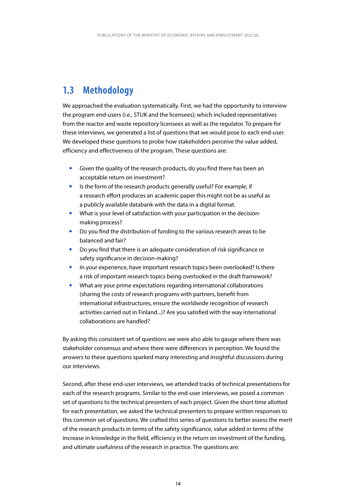## <span id="page-14-0"></span>**1.3 Methodology**

We approached the evaluation systematically. First, we had the opportunity to interview the program end-users (i.e., STUK and the licensees); which included representatives from the reactor and waste repository licensees as well as the regulator. To prepare for these interviews, we generated a list of questions that we would pose to each end-user. We developed these questions to probe how stakeholders perceive the value added, efficiency and effectiveness of the program. These questions are:

- Given the quality of the research products, do you find there has been an acceptable return on investment?
- Is the form of the research products generally useful? For example, if a research effort produces an academic paper this might not be as useful as a publicly available databank with the data in a digital format.
- What is your level of satisfaction with your participation in the decisionmaking process?
- Do you find the distribution of funding to the various research areas to be balanced and fair?
- Do you find that there is an adequate consideration of risk significance or safety significance in decision-making?
- In your experience, have important research topics been overlooked? Is there a risk of important research topics being overlooked in the draft framework?
- What are your prime expectations regarding international collaborations (sharing the costs of research programs with partners, benefit from international infrastructures, ensure the worldwide recognition of research activities carried out in Finland...)? Are you satisfied with the way international collaborations are handled?

By asking this consistent set of questions we were also able to gauge where there was stakeholder consensus and where there were differences in perception. We found the answers to these questions sparked many interesting and insightful discussions during our interviews.

Second, after these end-user interviews, we attended tracks of technical presentations for each of the research programs. Similar to the end-user interviews, we posed a common set of questions to the technical presenters of each project. Given the short time allotted for each presentation, we asked the technical presenters to prepare written responses to this common set of questions. We crafted this series of questions to better assess the merit of the research products in terms of the safety significance, value added in terms of the increase in knowledge in the field, efficiency in the return on investment of the funding, and ultimate usefulness of the research in practice. The questions are: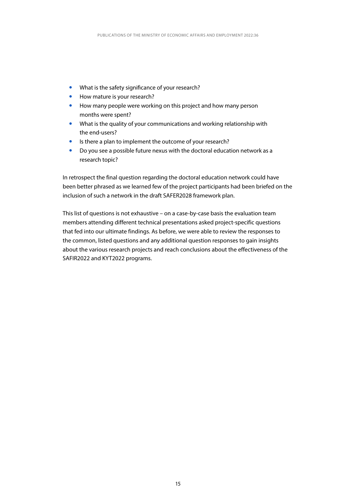- What is the safety significance of your research?
- How mature is your research?
- How many people were working on this project and how many person months were spent?
- What is the quality of your communications and working relationship with the end-users?
- Is there a plan to implement the outcome of your research?
- Do you see a possible future nexus with the doctoral education network as a research topic?

In retrospect the final question regarding the doctoral education network could have been better phrased as we learned few of the project participants had been briefed on the inclusion of such a network in the draft SAFER2028 framework plan.

This list of questions is not exhaustive – on a case-by-case basis the evaluation team members attending different technical presentations asked project-specific questions that fed into our ultimate findings. As before, we were able to review the responses to the common, listed questions and any additional question responses to gain insights about the various research projects and reach conclusions about the effectiveness of the SAFIR2022 and KYT2022 programs.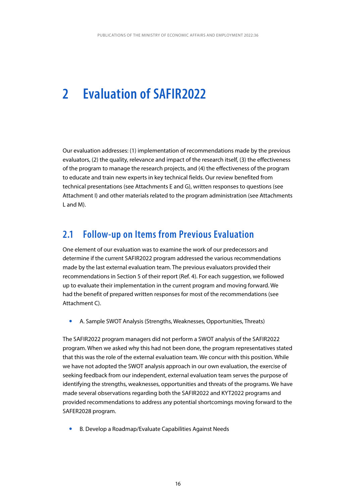## <span id="page-16-0"></span>**2 Evaluation of SAFIR2022**

Our evaluation addresses: (1) implementation of recommendations made by the previous evaluators, (2) the quality, relevance and impact of the research itself, (3) the effectiveness of the program to manage the research projects, and (4) the effectiveness of the program to educate and train new experts in key technical fields. Our review benefited from technical presentations (see Attachments E and G), written responses to questions (see Attachment I) and other materials related to the program administration (see Attachments L and M).

### **2.1 Follow-up on Items from Previous Evaluation**

One element of our evaluation was to examine the work of our predecessors and determine if the current SAFIR2022 program addressed the various recommendations made by the last external evaluation team. The previous evaluators provided their recommendations in Section 5 of their report (Ref. 4). For each suggestion, we followed up to evaluate their implementation in the current program and moving forward. We had the benefit of prepared written responses for most of the recommendations (see Attachment C).

A. Sample SWOT Analysis (Strengths, Weaknesses, Opportunities, Threats)

The SAFIR2022 program managers did not perform a SWOT analysis of the SAFIR2022 program. When we asked why this had not been done, the program representatives stated that this was the role of the external evaluation team. We concur with this position. While we have not adopted the SWOT analysis approach in our own evaluation, the exercise of seeking feedback from our independent, external evaluation team serves the purpose of identifying the strengths, weaknesses, opportunities and threats of the programs. We have made several observations regarding both the SAFIR2022 and KYT2022 programs and provided recommendations to address any potential shortcomings moving forward to the SAFER2028 program.

B. Develop a Roadmap/Evaluate Capabilities Against Needs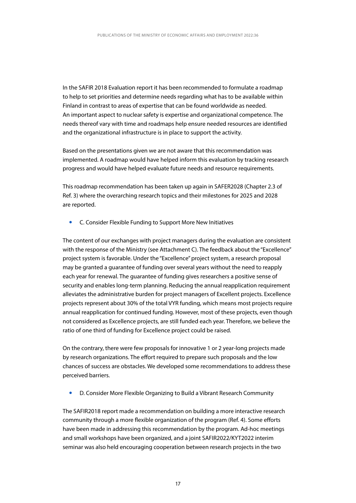In the SAFIR 2018 Evaluation report it has been recommended to formulate a roadmap to help to set priorities and determine needs regarding what has to be available within Finland in contrast to areas of expertise that can be found worldwide as needed. An important aspect to nuclear safety is expertise and organizational competence. The needs thereof vary with time and roadmaps help ensure needed resources are identified and the organizational infrastructure is in place to support the activity.

Based on the presentations given we are not aware that this recommendation was implemented. A roadmap would have helped inform this evaluation by tracking research progress and would have helped evaluate future needs and resource requirements.

This roadmap recommendation has been taken up again in SAFER2028 (Chapter 2.3 of Ref. 3) where the overarching research topics and their milestones for 2025 and 2028 are reported.

**•** C. Consider Flexible Funding to Support More New Initiatives

The content of our exchanges with project managers during the evaluation are consistent with the response of the Ministry (see Attachment C). The feedback about the "Excellence" project system is favorable. Under the "Excellence" project system, a research proposal may be granted a guarantee of funding over several years without the need to reapply each year for renewal. The guarantee of funding gives researchers a positive sense of security and enables long-term planning. Reducing the annual reapplication requirement alleviates the administrative burden for project managers of Excellent projects. Excellence projects represent about 30% of the total VYR funding, which means most projects require annual reapplication for continued funding. However, most of these projects, even though not considered as Excellence projects, are still funded each year. Therefore, we believe the ratio of one third of funding for Excellence project could be raised.

On the contrary, there were few proposals for innovative 1 or 2 year-long projects made by research organizations. The effort required to prepare such proposals and the low chances of success are obstacles. We developed some recommendations to address these perceived barriers.

y D. Consider More Flexible Organizing to Build a Vibrant Research Community

The SAFIR2018 report made a recommendation on building a more interactive research community through a more flexible organization of the program (Ref. 4). Some efforts have been made in addressing this recommendation by the program. Ad-hoc meetings and small workshops have been organized, and a joint SAFIR2022/KYT2022 interim seminar was also held encouraging cooperation between research projects in the two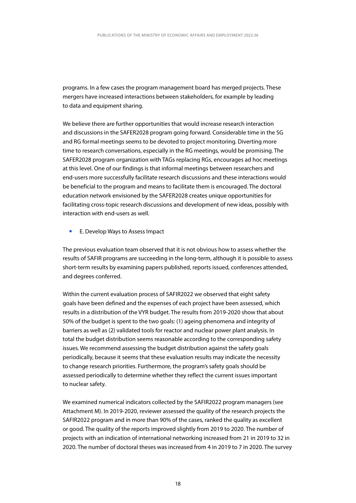programs. In a few cases the program management board has merged projects. These mergers have increased interactions between stakeholders, for example by leading to data and equipment sharing.

We believe there are further opportunities that would increase research interaction and discussions in the SAFER2028 program going forward. Considerable time in the SG and RG formal meetings seems to be devoted to project monitoring. Diverting more time to research conversations, especially in the RG meetings, would be promising. The SAFER2028 program organization with TAGs replacing RGs, encourages ad hoc meetings at this level. One of our findings is that informal meetings between researchers and end-users more successfully facilitate research discussions and these interactions would be beneficial to the program and means to facilitate them is encouraged. The doctoral education network envisioned by the SAFER2028 creates unique opportunities for facilitating cross-topic research discussions and development of new ideas, possibly with interaction with end-users as well.

• E. Develop Ways to Assess Impact

The previous evaluation team observed that it is not obvious how to assess whether the results of SAFIR programs are succeeding in the long-term, although it is possible to assess short-term results by examining papers published, reports issued, conferences attended, and degrees conferred.

Within the current evaluation process of SAFIR2022 we observed that eight safety goals have been defined and the expenses of each project have been assessed, which results in a distribution of the VYR budget. The results from 2019-2020 show that about 50% of the budget is spent to the two goals: (1) ageing phenomena and integrity of barriers as well as (2) validated tools for reactor and nuclear power plant analysis. In total the budget distribution seems reasonable according to the corresponding safety issues. We recommend assessing the budget distribution against the safety goals periodically, because it seems that these evaluation results may indicate the necessity to change research priorities. Furthermore, the program's safety goals should be assessed periodically to determine whether they reflect the current issues important to nuclear safety.

We examined numerical indicators collected by the SAFIR2022 program managers (see Attachment M). In 2019-2020, reviewer assessed the quality of the research projects the SAFIR2022 program and in more than 90% of the cases, ranked the quality as excellent or good. The quality of the reports improved slightly from 2019 to 2020. The number of projects with an indication of international networking increased from 21 in 2019 to 32 in 2020. The number of doctoral theses was increased from 4 in 2019 to 7 in 2020. The survey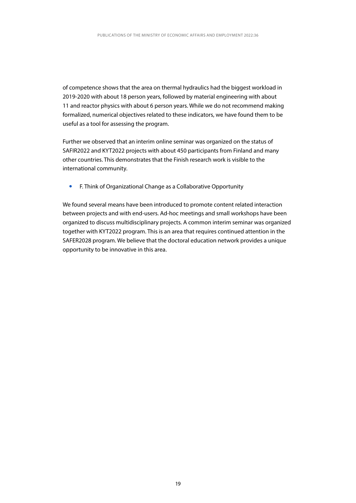of competence shows that the area on thermal hydraulics had the biggest workload in 2019-2020 with about 18 person years, followed by material engineering with about 11 and reactor physics with about 6 person years. While we do not recommend making formalized, numerical objectives related to these indicators, we have found them to be useful as a tool for assessing the program.

Further we observed that an interim online seminar was organized on the status of SAFIR2022 and KYT2022 projects with about 450 participants from Finland and many other countries. This demonstrates that the Finish research work is visible to the international community.

y F. Think of Organizational Change as a Collaborative Opportunity

We found several means have been introduced to promote content related interaction between projects and with end-users. Ad-hoc meetings and small workshops have been organized to discuss multidisciplinary projects. A common interim seminar was organized together with KYT2022 program. This is an area that requires continued attention in the SAFER2028 program. We believe that the doctoral education network provides a unique opportunity to be innovative in this area.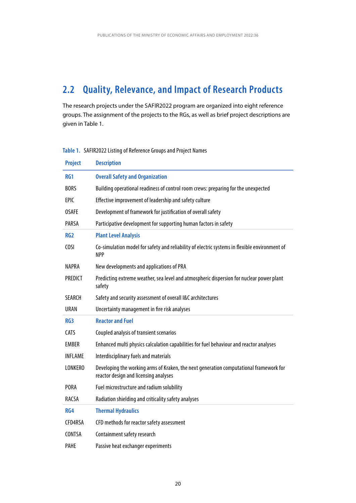## <span id="page-20-0"></span>**2.2 Quality, Relevance, and Impact of Research Products**

The research projects under the SAFIR2022 program are organized into eight reference groups. The assignment of the projects to the RGs, as well as brief project descriptions are given in Table 1.

| <b>Project</b>  | <b>Description</b>                                                                                                              |
|-----------------|---------------------------------------------------------------------------------------------------------------------------------|
| RG1             | <b>Overall Safety and Organization</b>                                                                                          |
| <b>BORS</b>     | Building operational readiness of control room crews: preparing for the unexpected                                              |
| <b>EPIC</b>     | Effective improvement of leadership and safety culture                                                                          |
| <b>OSAFE</b>    | Development of framework for justification of overall safety                                                                    |
| <b>PARSA</b>    | Participative development for supporting human factors in safety                                                                |
| RG <sub>2</sub> | <b>Plant Level Analysis</b>                                                                                                     |
| <b>COSI</b>     | Co-simulation model for safety and reliability of electric systems in flexible environment of<br><b>NPP</b>                     |
| NAPRA           | New developments and applications of PRA                                                                                        |
| <b>PREDICT</b>  | Predicting extreme weather, sea level and atmospheric dispersion for nuclear power plant<br>safety                              |
| <b>SEARCH</b>   | Safety and security assessment of overall I&C architectures                                                                     |
|                 |                                                                                                                                 |
| <b>URAN</b>     | Uncertainty management in fire risk analyses                                                                                    |
| RG <sub>3</sub> | <b>Reactor and Fuel</b>                                                                                                         |
| CATS            | Coupled analysis of transient scenarios                                                                                         |
| <b>EMBER</b>    | Enhanced multi physics calculation capabilities for fuel behaviour and reactor analyses                                         |
| INFI AMF        | Interdisciplinary fuels and materials                                                                                           |
| <b>LONKERO</b>  | Developing the working arms of Kraken, the next generation computational framework for<br>reactor design and licensing analyses |
| <b>PORA</b>     | Fuel microstructure and radium solubility                                                                                       |
| <b>RACSA</b>    | Radiation shielding and criticality safety analyses                                                                             |
| RG4             | <b>Thermal Hydraulics</b>                                                                                                       |
| CFD4RSA         | CFD methods for reactor safety assessment                                                                                       |
| <b>CONTSA</b>   | Containment safety research                                                                                                     |

### **Table 1.** SAFIR2022 Listing of Reference Groups and Project Names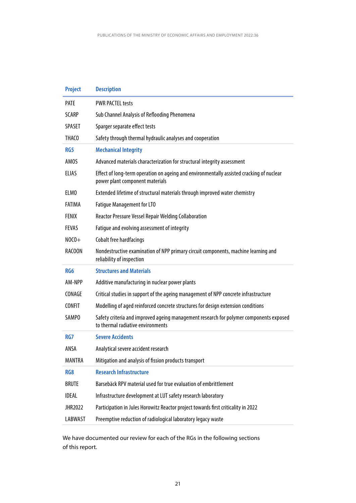| <b>Project</b>    | <b>Description</b>                                                                                                          |
|-------------------|-----------------------------------------------------------------------------------------------------------------------------|
| <b>PATE</b>       | <b>PWR PACTEL tests</b>                                                                                                     |
| <b>SCARP</b>      | Sub Channel Analysis of Reflooding Phenomena                                                                                |
| <b>SPASET</b>     | Sparger separate effect tests                                                                                               |
| THAC <sub>0</sub> | Safety through thermal hydraulic analyses and cooperation                                                                   |
| RG <sub>5</sub>   | <b>Mechanical Integrity</b>                                                                                                 |
| AMOS              | Advanced materials characterization for structural integrity assessment                                                     |
| <b>ELIAS</b>      | Effect of long-term operation on ageing and environmentally assisted cracking of nuclear<br>power plant component materials |
| <b>ELMO</b>       | Extended lifetime of structural materials through improved water chemistry                                                  |
| <b>FATIMA</b>     | <b>Fatigue Management for LTO</b>                                                                                           |
| <b>FENIX</b>      | <b>Reactor Pressure Vessel Repair Welding Collaboration</b>                                                                 |
| <b>FEVAS</b>      | Fatigue and evolving assessment of integrity                                                                                |
| $NOCO+$           | Cobalt free hardfacings                                                                                                     |
| RACOON            | Nondestructive examination of NPP primary circuit components, machine learning and<br>reliability of inspection             |
| RG <sub>6</sub>   | <b>Structures and Materials</b>                                                                                             |
| AM-NPP            | Additive manufacturing in nuclear power plants                                                                              |
| CONAGE            | Critical studies in support of the ageing management of NPP concrete infrastructure                                         |
| <b>CONFIT</b>     | Modelling of aged reinforced concrete structures for design extension conditions                                            |
| SAMP <sub>0</sub> | Safety criteria and improved ageing management research for polymer components exposed<br>to thermal radiative environments |
| RG7               | <b>Severe Accidents</b>                                                                                                     |
| ANSA              | Analytical severe accident research                                                                                         |
| MANTRA            | Mitigation and analysis of fission products transport                                                                       |
| RG8               | <b>Research Infrastructure</b>                                                                                              |
| <b>BRUTE</b>      | Barsebäck RPV material used for true evaluation of embrittlement                                                            |
| <b>IDEAL</b>      | Infrastructure development at LUT safety research laboratory                                                                |
| JHR2022           | Participation in Jules Horowitz Reactor project towards first criticality in 2022                                           |
| LABWAST           | Preemptive reduction of radiological laboratory legacy waste                                                                |

We have documented our review for each of the RGs in the following sections of this report.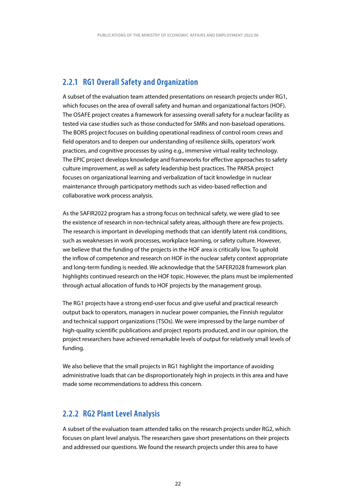### <span id="page-22-0"></span>**2.2.1 RG1 Overall Safety and Organization**

A subset of the evaluation team attended presentations on research projects under RG1, which focuses on the area of overall safety and human and organizational factors (HOF). The OSAFE project creates a framework for assessing overall safety for a nuclear facility as tested via case studies such as those conducted for SMRs and non-baseload operations. The BORS project focuses on building operational readiness of control room crews and field operators and to deepen our understanding of resilience skills, operators' work practices, and cognitive processes by using e.g., immersive virtual reality technology. The EPIC project develops knowledge and frameworks for effective approaches to safety culture improvement, as well as safety leadership best practices. The PARSA project focuses on organizational learning and verbalization of tacit knowledge in nuclear maintenance through participatory methods such as video-based reflection and collaborative work process analysis.

As the SAFIR2022 program has a strong focus on technical safety, we were glad to see the existence of research in non-technical safety areas, although there are few projects. The research is important in developing methods that can identify latent risk conditions, such as weaknesses in work processes, workplace learning, or safety culture. However, we believe that the funding of the projects in the HOF area is critically low. To uphold the inflow of competence and research on HOF in the nuclear safety context appropriate and long-term funding is needed. We acknowledge that the SAFER2028 framework plan highlights continued research on the HOF topic. However, the plans must be implemented through actual allocation of funds to HOF projects by the management group.

The RG1 projects have a strong end-user focus and give useful and practical research output back to operators, managers in nuclear power companies, the Finnish regulator and technical support organizations (TSOs). We were impressed by the large number of high-quality scientific publications and project reports produced, and in our opinion, the project researchers have achieved remarkable levels of output for relatively small levels of funding.

We also believe that the small projects in RG1 highlight the importance of avoiding administrative loads that can be disproportionately high in projects in this area and have made some recommendations to address this concern.

### **2.2.2 RG2 Plant Level Analysis**

A subset of the evaluation team attended talks on the research projects under RG2, which focuses on plant level analysis. The researchers gave short presentations on their projects and addressed our questions. We found the research projects under this area to have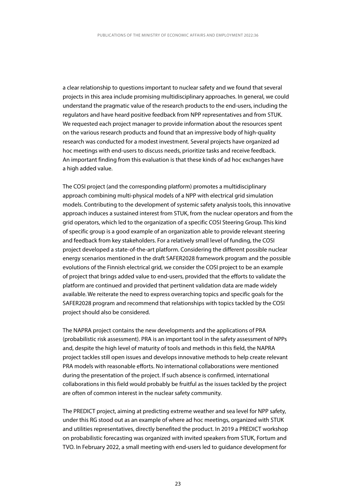a clear relationship to questions important to nuclear safety and we found that several projects in this area include promising multidisciplinary approaches. In general, we could understand the pragmatic value of the research products to the end-users, including the regulators and have heard positive feedback from NPP representatives and from STUK. We requested each project manager to provide information about the resources spent on the various research products and found that an impressive body of high-quality research was conducted for a modest investment. Several projects have organized ad hoc meetings with end-users to discuss needs, prioritize tasks and receive feedback. An important finding from this evaluation is that these kinds of ad hoc exchanges have a high added value.

The COSI project (and the corresponding platform) promotes a multidisciplinary approach combining multi-physical models of a NPP with electrical grid simulation models. Contributing to the development of systemic safety analysis tools, this innovative approach induces a sustained interest from STUK, from the nuclear operators and from the grid operators, which led to the organization of a specific COSI Steering Group. This kind of specific group is a good example of an organization able to provide relevant steering and feedback from key stakeholders. For a relatively small level of funding, the COSI project developed a state-of-the-art platform. Considering the different possible nuclear energy scenarios mentioned in the draft SAFER2028 framework program and the possible evolutions of the Finnish electrical grid, we consider the COSI project to be an example of project that brings added value to end-users, provided that the efforts to validate the platform are continued and provided that pertinent validation data are made widely available. We reiterate the need to express overarching topics and specific goals for the SAFER2028 program and recommend that relationships with topics tackled by the COSI project should also be considered.

The NAPRA project contains the new developments and the applications of PRA (probabilistic risk assessment). PRA is an important tool in the safety assessment of NPPs and, despite the high level of maturity of tools and methods in this field, the NAPRA project tackles still open issues and develops innovative methods to help create relevant PRA models with reasonable efforts. No international collaborations were mentioned during the presentation of the project. If such absence is confirmed, international collaborations in this field would probably be fruitful as the issues tackled by the project are often of common interest in the nuclear safety community.

The PREDICT project, aiming at predicting extreme weather and sea level for NPP safety, under this RG stood out as an example of where ad hoc meetings, organized with STUK and utilities representatives, directly benefited the product. In 2019 a PREDICT workshop on probabilistic forecasting was organized with invited speakers from STUK, Fortum and TVO. In February 2022, a small meeting with end-users led to guidance development for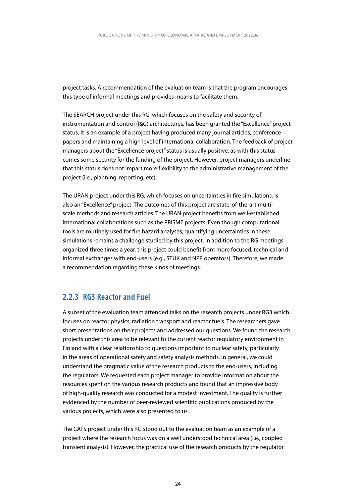<span id="page-24-0"></span>project tasks. A recommendation of the evaluation team is that the program encourages this type of informal meetings and provides means to facilitate them.

The SEARCH project under this RG, which focuses on the safety and security of instrumentation and control (I&C) architectures, has been granted the "Excellence" project status. It is an example of a project having produced many journal articles, conference papers and maintaining a high level of international collaboration. The feedback of project managers about the "Excellence project" status is usually positive, as with this status comes some security for the funding of the project. However, project managers underline that this status does not impart more flexibility to the administrative management of the project (i.e., planning, reporting, etc).

The URAN project under this RG, which focuses on uncertainties in fire simulations, is also an "Excellence" project. The outcomes of this project are state-of-the-art multiscale methods and research articles. The URAN project benefits from well-established international collaborations such as the PRISME projects. Even though computational tools are routinely used for fire hazard analyses, quantifying uncertainties in these simulations remains a challenge studied by this project. In addition to the RG meetings organized three times a year, this project could benefit from more focused, technical and informal exchanges with end-users (e.g., STUK and NPP operators). Therefore, we made a recommendation regarding these kinds of meetings.

### **2.2.3 RG3 Reactor and Fuel**

A subset of the evaluation team attended talks on the research projects under RG3 which focuses on reactor physics, radiation transport and reactor fuels. The researchers gave short presentations on their projects and addressed our questions. We found the research projects under this area to be relevant to the current reactor regulatory environment in Finland with a clear relationship to questions important to nuclear safety, particularly in the areas of operational safety and safety analysis methods. In general, we could understand the pragmatic value of the research products to the end-users, including the regulators. We requested each project manager to provide information about the resources spent on the various research products and found that an impressive body of high-quality research was conducted for a modest investment. The quality is further evidenced by the number of peer-reviewed scientific publications produced by the various projects, which were also presented to us.

The CATS project under this RG stood out to the evaluation team as an example of a project where the research focus was on a well understood technical area (i.e., coupled transient analysis). However, the practical use of the research products by the regulator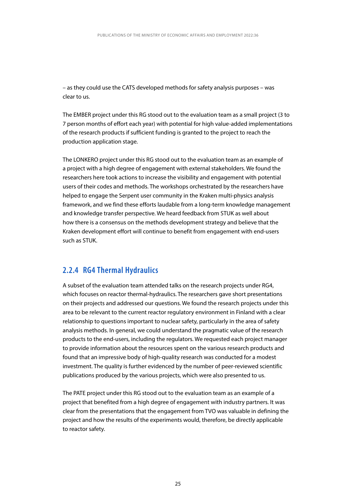<span id="page-25-0"></span>– as they could use the CATS developed methods for safety analysis purposes – was clear to us.

The EMBER project under this RG stood out to the evaluation team as a small project (3 to 7 person months of effort each year) with potential for high value-added implementations of the research products if sufficient funding is granted to the project to reach the production application stage.

The LONKERO project under this RG stood out to the evaluation team as an example of a project with a high degree of engagement with external stakeholders. We found the researchers here took actions to increase the visibility and engagement with potential users of their codes and methods. The workshops orchestrated by the researchers have helped to engage the Serpent user community in the Kraken multi-physics analysis framework, and we find these efforts laudable from a long-term knowledge management and knowledge transfer perspective. We heard feedback from STUK as well about how there is a consensus on the methods development strategy and believe that the Kraken development effort will continue to benefit from engagement with end-users such as STUK.

### **2.2.4 RG4 Thermal Hydraulics**

A subset of the evaluation team attended talks on the research projects under RG4, which focuses on reactor thermal-hydraulics. The researchers gave short presentations on their projects and addressed our questions. We found the research projects under this area to be relevant to the current reactor regulatory environment in Finland with a clear relationship to questions important to nuclear safety, particularly in the area of safety analysis methods. In general, we could understand the pragmatic value of the research products to the end-users, including the regulators. We requested each project manager to provide information about the resources spent on the various research products and found that an impressive body of high-quality research was conducted for a modest investment. The quality is further evidenced by the number of peer-reviewed scientific publications produced by the various projects, which were also presented to us.

The PATE project under this RG stood out to the evaluation team as an example of a project that benefited from a high degree of engagement with industry partners. It was clear from the presentations that the engagement from TVO was valuable in defining the project and how the results of the experiments would, therefore, be directly applicable to reactor safety.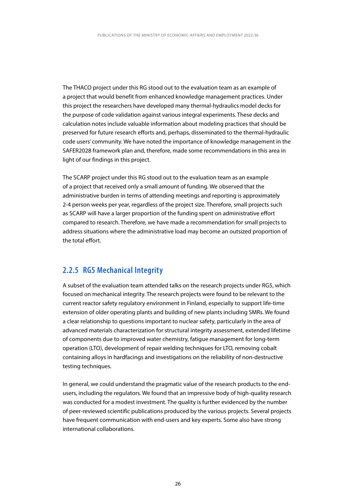<span id="page-26-0"></span>The THACO project under this RG stood out to the evaluation team as an example of a project that would benefit from enhanced knowledge management practices. Under this project the researchers have developed many thermal-hydraulics model decks for the purpose of code validation against various integral experiments. These decks and calculation notes include valuable information about modeling practices that should be preserved for future research efforts and, perhaps, disseminated to the thermal-hydraulic code users' community. We have noted the importance of knowledge management in the SAFER2028 framework plan and, therefore, made some recommendations in this area in light of our findings in this project.

The SCARP project under this RG stood out to the evaluation team as an example of a project that received only a small amount of funding. We observed that the administrative burden in terms of attending meetings and reporting is approximately 2-4 person weeks per year, regardless of the project size. Therefore, small projects such as SCARP will have a larger proportion of the funding spent on administrative effort compared to research. Therefore, we have made a recommendation for small projects to address situations where the administrative load may become an outsized proportion of the total effort.

### **2.2.5 RG5 Mechanical Integrity**

A subset of the evaluation team attended talks on the research projects under RG5, which focused on mechanical integrity. The research projects were found to be relevant to the current reactor safety regulatory environment in Finland, especially to support life-time extension of older operating plants and building of new plants including SMRs. We found a clear relationship to questions important to nuclear safety, particularly in the area of advanced materials characterization for structural integrity assessment, extended lifetime of components due to improved water chemistry, fatigue management for long-term operation (LTO), development of repair welding techniques for LTO, removing cobalt containing alloys in hardfacings and investigations on the reliability of non-destructive testing techniques.

In general, we could understand the pragmatic value of the research products to the endusers, including the regulators. We found that an impressive body of high-quality research was conducted for a modest investment. The quality is further evidenced by the number of peer-reviewed scientific publications produced by the various projects. Several projects have frequent communication with end-users and key experts. Some also have strong international collaborations.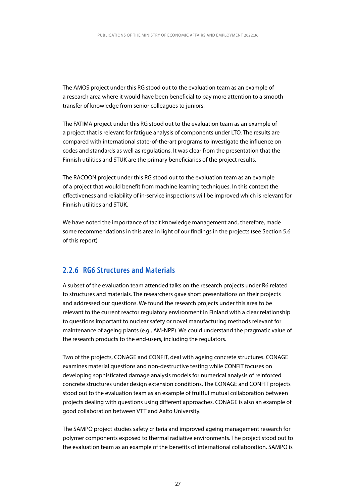<span id="page-27-0"></span>The AMOS project under this RG stood out to the evaluation team as an example of a research area where it would have been beneficial to pay more attention to a smooth transfer of knowledge from senior colleagues to juniors.

The FATIMA project under this RG stood out to the evaluation team as an example of a project that is relevant for fatigue analysis of components under LTO. The results are compared with international state-of-the-art programs to investigate the influence on codes and standards as well as regulations. It was clear from the presentation that the Finnish utilities and STUK are the primary beneficiaries of the project results.

The RACOON project under this RG stood out to the evaluation team as an example of a project that would benefit from machine learning techniques. In this context the effectiveness and reliability of in-service inspections will be improved which is relevant for Finnish utilities and STUK.

We have noted the importance of tacit knowledge management and, therefore, made some recommendations in this area in light of our findings in the projects (see Section 5.6 of this report)

### **2.2.6 RG6 Structures and Materials**

A subset of the evaluation team attended talks on the research projects under R6 related to structures and materials. The researchers gave short presentations on their projects and addressed our questions. We found the research projects under this area to be relevant to the current reactor regulatory environment in Finland with a clear relationship to questions important to nuclear safety or novel manufacturing methods relevant for maintenance of ageing plants (e.g., AM-NPP). We could understand the pragmatic value of the research products to the end-users, including the regulators.

Two of the projects, CONAGE and CONFIT, deal with ageing concrete structures. CONAGE examines material questions and non-destructive testing while CONFIT focuses on developing sophisticated damage analysis models for numerical analysis of reinforced concrete structures under design extension conditions. The CONAGE and CONFIT projects stood out to the evaluation team as an example of fruitful mutual collaboration between projects dealing with questions using different approaches. CONAGE is also an example of good collaboration between VTT and Aalto University.

The SAMPO project studies safety criteria and improved ageing management research for polymer components exposed to thermal radiative environments. The project stood out to the evaluation team as an example of the benefits of international collaboration. SAMPO is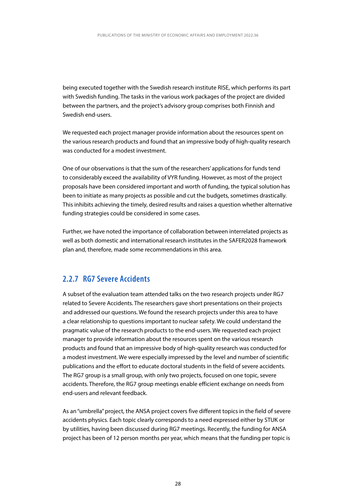<span id="page-28-0"></span>being executed together with the Swedish research institute RISE, which performs its part with Swedish funding. The tasks in the various work packages of the project are divided between the partners, and the project's advisory group comprises both Finnish and Swedish end-users.

We requested each project manager provide information about the resources spent on the various research products and found that an impressive body of high-quality research was conducted for a modest investment.

One of our observations is that the sum of the researchers' applications for funds tend to considerably exceed the availability of VYR funding. However, as most of the project proposals have been considered important and worth of funding, the typical solution has been to initiate as many projects as possible and cut the budgets, sometimes drastically. This inhibits achieving the timely, desired results and raises a question whether alternative funding strategies could be considered in some cases.

Further, we have noted the importance of collaboration between interrelated projects as well as both domestic and international research institutes in the SAFER2028 framework plan and, therefore, made some recommendations in this area.

### **2.2.7 RG7 Severe Accidents**

A subset of the evaluation team attended talks on the two research projects under RG7 related to Severe Accidents. The researchers gave short presentations on their projects and addressed our questions. We found the research projects under this area to have a clear relationship to questions important to nuclear safety. We could understand the pragmatic value of the research products to the end-users. We requested each project manager to provide information about the resources spent on the various research products and found that an impressive body of high-quality research was conducted for a modest investment. We were especially impressed by the level and number of scientific publications and the effort to educate doctoral students in the field of severe accidents. The RG7 group is a small group, with only two projects, focused on one topic, severe accidents. Therefore, the RG7 group meetings enable efficient exchange on needs from end-users and relevant feedback.

As an "umbrella" project, the ANSA project covers five different topics in the field of severe accidents physics. Each topic clearly corresponds to a need expressed either by STUK or by utilities, having been discussed during RG7 meetings. Recently, the funding for ANSA project has been of 12 person months per year, which means that the funding per topic is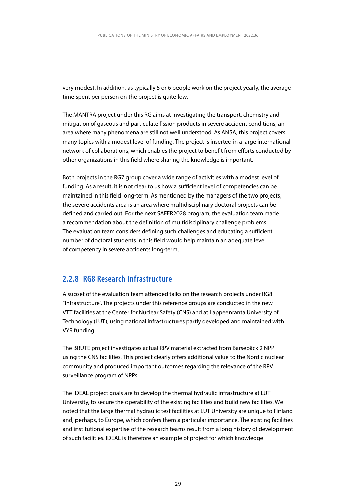<span id="page-29-0"></span>very modest. In addition, as typically 5 or 6 people work on the project yearly, the average time spent per person on the project is quite low.

The MANTRA project under this RG aims at investigating the transport, chemistry and mitigation of gaseous and particulate fission products in severe accident conditions, an area where many phenomena are still not well understood. As ANSA, this project covers many topics with a modest level of funding. The project is inserted in a large international network of collaborations, which enables the project to benefit from efforts conducted by other organizations in this field where sharing the knowledge is important.

Both projects in the RG7 group cover a wide range of activities with a modest level of funding. As a result, it is not clear to us how a sufficient level of competencies can be maintained in this field long-term. As mentioned by the managers of the two projects, the severe accidents area is an area where multidisciplinary doctoral projects can be defined and carried out. For the next SAFER2028 program, the evaluation team made a recommendation about the definition of multidisciplinary challenge problems. The evaluation team considers defining such challenges and educating a sufficient number of doctoral students in this field would help maintain an adequate level of competency in severe accidents long-term.

### **2.2.8 RG8 Research Infrastructure**

A subset of the evaluation team attended talks on the research projects under RG8 "Infrastructure". The projects under this reference groups are conducted in the new VTT facilities at the Center for Nuclear Safety (CNS) and at Lappeenranta University of Technology (LUT), using national infrastructures partly developed and maintained with VYR funding.

The BRUTE project investigates actual RPV material extracted from Barsebäck 2 NPP using the CNS facilities. This project clearly offers additional value to the Nordic nuclear community and produced important outcomes regarding the relevance of the RPV surveillance program of NPPs.

The IDEAL project goals are to develop the thermal hydraulic infrastructure at LUT University, to secure the operability of the existing facilities and build new facilities. We noted that the large thermal hydraulic test facilities at LUT University are unique to Finland and, perhaps, to Europe, which confers them a particular importance. The existing facilities and institutional expertise of the research teams result from a long history of development of such facilities. IDEAL is therefore an example of project for which knowledge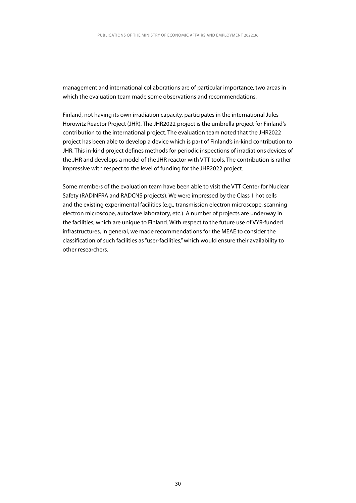management and international collaborations are of particular importance, two areas in which the evaluation team made some observations and recommendations.

Finland, not having its own irradiation capacity, participates in the international Jules Horowitz Reactor Project (JHR). The JHR2022 project is the umbrella project for Finland's contribution to the international project. The evaluation team noted that the JHR2022 project has been able to develop a device which is part of Finland's in-kind contribution to JHR. This in-kind project defines methods for periodic inspections of irradiations devices of the JHR and develops a model of the JHR reactor with VTT tools. The contribution is rather impressive with respect to the level of funding for the JHR2022 project.

Some members of the evaluation team have been able to visit the VTT Center for Nuclear Safety (RADINFRA and RADCNS projects). We were impressed by the Class 1 hot cells and the existing experimental facilities (e.g., transmission electron microscope, scanning electron microscope, autoclave laboratory, etc.). A number of projects are underway in the facilities, which are unique to Finland. With respect to the future use of VYR-funded infrastructures, in general, we made recommendations for the MEAE to consider the classification of such facilities as "user-facilities," which would ensure their availability to other researchers.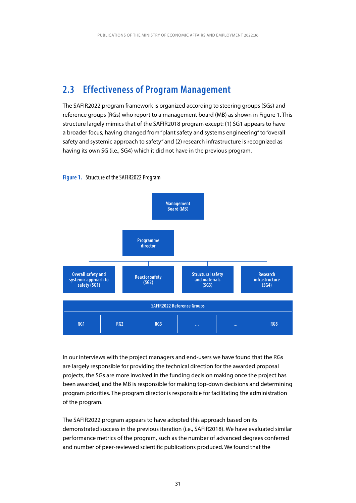## <span id="page-31-0"></span>**2.3 Effectiveness of Program Management**

The SAFIR2022 program framework is organized according to steering groups (SGs) and reference groups (RGs) who report to a management board (MB) as shown in Figure 1. This structure largely mimics that of the SAFIR2018 program except: (1) SG1 appears to have a broader focus, having changed from "plant safety and systems engineering" to "overall safety and systemic approach to safety" and (2) research infrastructure is recognized as having its own SG (i.e., SG4) which it did not have in the previous program.





In our interviews with the project managers and end-users we have found that the RGs are largely responsible for providing the technical direction for the awarded proposal projects, the SGs are more involved in the funding decision making once the project has been awarded, and the MB is responsible for making top-down decisions and determining program priorities. The program director is responsible for facilitating the administration of the program.

The SAFIR2022 program appears to have adopted this approach based on its demonstrated success in the previous iteration (i.e., SAFIR2018). We have evaluated similar performance metrics of the program, such as the number of advanced degrees conferred and number of peer-reviewed scientific publications produced. We found that the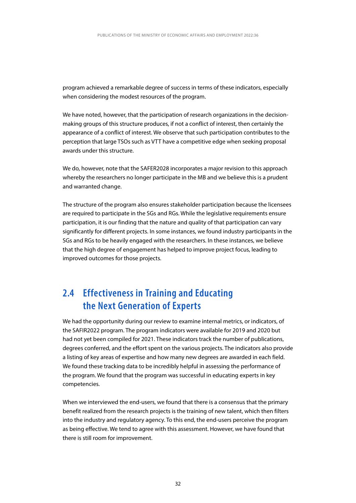<span id="page-32-0"></span>program achieved a remarkable degree of success in terms of these indicators, especially when considering the modest resources of the program.

We have noted, however, that the participation of research organizations in the decisionmaking groups of this structure produces, if not a conflict of interest, then certainly the appearance of a conflict of interest. We observe that such participation contributes to the perception that large TSOs such as VTT have a competitive edge when seeking proposal awards under this structure.

We do, however, note that the SAFER2028 incorporates a major revision to this approach whereby the researchers no longer participate in the MB and we believe this is a prudent and warranted change.

The structure of the program also ensures stakeholder participation because the licensees are required to participate in the SGs and RGs. While the legislative requirements ensure participation, it is our finding that the nature and quality of that participation can vary significantly for different projects. In some instances, we found industry participants in the SGs and RGs to be heavily engaged with the researchers. In these instances, we believe that the high degree of engagement has helped to improve project focus, leading to improved outcomes for those projects.

## **2.4 Effectiveness in Training and Educating the Next Generation of Experts**

We had the opportunity during our review to examine internal metrics, or indicators, of the SAFIR2022 program. The program indicators were available for 2019 and 2020 but had not yet been compiled for 2021. These indicators track the number of publications, degrees conferred, and the effort spent on the various projects. The indicators also provide a listing of key areas of expertise and how many new degrees are awarded in each field. We found these tracking data to be incredibly helpful in assessing the performance of the program. We found that the program was successful in educating experts in key competencies.

When we interviewed the end-users, we found that there is a consensus that the primary benefit realized from the research projects is the training of new talent, which then filters into the industry and regulatory agency. To this end, the end-users perceive the program as being effective. We tend to agree with this assessment. However, we have found that there is still room for improvement.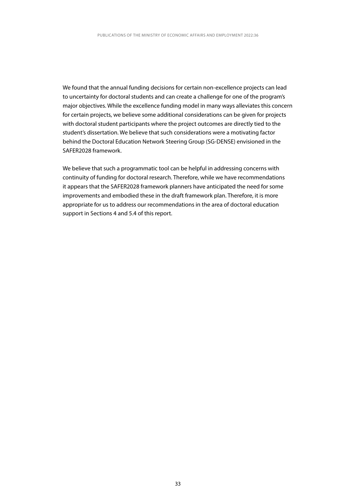We found that the annual funding decisions for certain non-excellence projects can lead to uncertainty for doctoral students and can create a challenge for one of the program's major objectives. While the excellence funding model in many ways alleviates this concern for certain projects, we believe some additional considerations can be given for projects with doctoral student participants where the project outcomes are directly tied to the student's dissertation. We believe that such considerations were a motivating factor behind the Doctoral Education Network Steering Group (SG-DENSE) envisioned in the SAFER2028 framework.

We believe that such a programmatic tool can be helpful in addressing concerns with continuity of funding for doctoral research. Therefore, while we have recommendations it appears that the SAFER2028 framework planners have anticipated the need for some improvements and embodied these in the draft framework plan. Therefore, it is more appropriate for us to address our recommendations in the area of doctoral education support in Sections 4 and 5.4 of this report.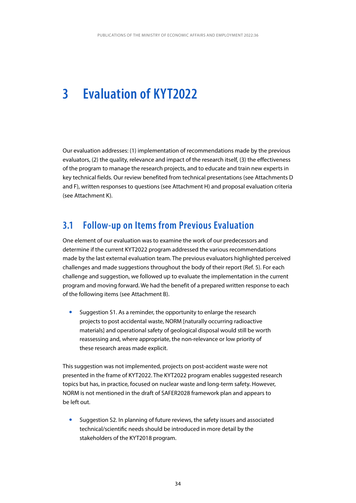## <span id="page-34-0"></span>**3 Evaluation of KYT2022**

Our evaluation addresses: (1) implementation of recommendations made by the previous evaluators, (2) the quality, relevance and impact of the research itself, (3) the effectiveness of the program to manage the research projects, and to educate and train new experts in key technical fields. Our review benefited from technical presentations (see Attachments D and F), written responses to questions (see Attachment H) and proposal evaluation criteria (see Attachment K).

### **3.1 Follow-up on Items from Previous Evaluation**

One element of our evaluation was to examine the work of our predecessors and determine if the current KYT2022 program addressed the various recommendations made by the last external evaluation team. The previous evaluators highlighted perceived challenges and made suggestions throughout the body of their report (Ref. 5). For each challenge and suggestion, we followed up to evaluate the implementation in the current program and moving forward. We had the benefit of a prepared written response to each of the following items (see Attachment B).

Suggestion S1. As a reminder, the opportunity to enlarge the research projects to post accidental waste, NORM [naturally occurring radioactive materials] and operational safety of geological disposal would still be worth reassessing and, where appropriate, the non-relevance or low priority of these research areas made explicit.

This suggestion was not implemented, projects on post-accident waste were not presented in the frame of KYT2022. The KYT2022 program enables suggested research topics but has, in practice, focused on nuclear waste and long-term safety. However, NORM is not mentioned in the draft of SAFER2028 framework plan and appears to be left out.

Suggestion S2. In planning of future reviews, the safety issues and associated technical/scientific needs should be introduced in more detail by the stakeholders of the KYT2018 program.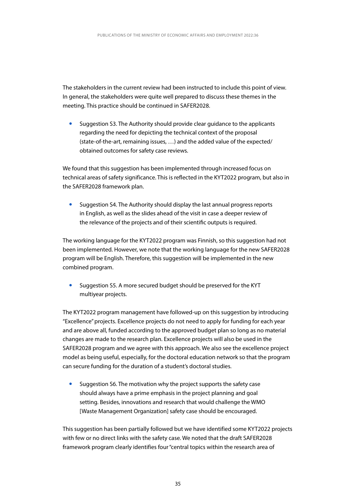The stakeholders in the current review had been instructed to include this point of view. In general, the stakeholders were quite well prepared to discuss these themes in the meeting. This practice should be continued in SAFER2028.

Suggestion S3. The Authority should provide clear guidance to the applicants regarding the need for depicting the technical context of the proposal (state-of-the-art, remaining issues, …) and the added value of the expected/ obtained outcomes for safety case reviews.

We found that this suggestion has been implemented through increased focus on technical areas of safety significance. This is reflected in the KYT2022 program, but also in the SAFER2028 framework plan.

• Suggestion S4. The Authority should display the last annual progress reports in English, as well as the slides ahead of the visit in case a deeper review of the relevance of the projects and of their scientific outputs is required.

The working language for the KYT2022 program was Finnish, so this suggestion had not been implemented. However, we note that the working language for the new SAFER2028 program will be English. Therefore, this suggestion will be implemented in the new combined program.

Suggestion S5. A more secured budget should be preserved for the KYT multiyear projects.

The KYT2022 program management have followed-up on this suggestion by introducing "Excellence" projects. Excellence projects do not need to apply for funding for each year and are above all, funded according to the approved budget plan so long as no material changes are made to the research plan. Excellence projects will also be used in the SAFER2028 program and we agree with this approach. We also see the excellence project model as being useful, especially, for the doctoral education network so that the program can secure funding for the duration of a student's doctoral studies.

Suggestion S6. The motivation why the project supports the safety case should always have a prime emphasis in the project planning and goal setting. Besides, innovations and research that would challenge the WMO [Waste Management Organization] safety case should be encouraged.

This suggestion has been partially followed but we have identified some KYT2022 projects with few or no direct links with the safety case. We noted that the draft SAFER2028 framework program clearly identifies four "central topics within the research area of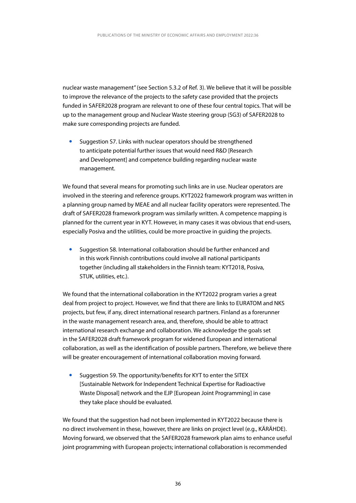nuclear waste management" (see Section 5.3.2 of Ref. 3). We believe that it will be possible to improve the relevance of the projects to the safety case provided that the projects funded in SAFER2028 program are relevant to one of these four central topics. That will be up to the management group and Nuclear Waste steering group (SG3) of SAFER2028 to make sure corresponding projects are funded.

Suggestion S7. Links with nuclear operators should be strengthened to anticipate potential further issues that would need R&D [Research and Development] and competence building regarding nuclear waste management.

We found that several means for promoting such links are in use. Nuclear operators are involved in the steering and reference groups. KYT2022 framework program was written in a planning group named by MEAE and all nuclear facility operators were represented. The draft of SAFER2028 framework program was similarly written. A competence mapping is planned for the current year in KYT. However, in many cases it was obvious that end-users, especially Posiva and the utilities, could be more proactive in guiding the projects.

Suggestion S8. International collaboration should be further enhanced and in this work Finnish contributions could involve all national participants together (including all stakeholders in the Finnish team: KYT2018, Posiva, STUK, utilities, etc.).

We found that the international collaboration in the KYT2022 program varies a great deal from project to project. However, we find that there are links to EURATOM and NKS projects, but few, if any, direct international research partners. Finland as a forerunner in the waste management research area, and, therefore, should be able to attract international research exchange and collaboration. We acknowledge the goals set in the SAFER2028 draft framework program for widened European and international collaboration, as well as the identification of possible partners. Therefore, we believe there will be greater encouragement of international collaboration moving forward.

Suggestion S9. The opportunity/benefits for KYT to enter the SITEX [Sustainable Network for Independent Technical Expertise for Radioactive Waste Disposal] network and the EJP [European Joint Programming] in case they take place should be evaluated.

We found that the suggestion had not been implemented in KYT2022 because there is no direct involvement in these, however, there are links on project level (e.g., KÄRÄHDE). Moving forward, we observed that the SAFER2028 framework plan aims to enhance useful joint programming with European projects; international collaboration is recommended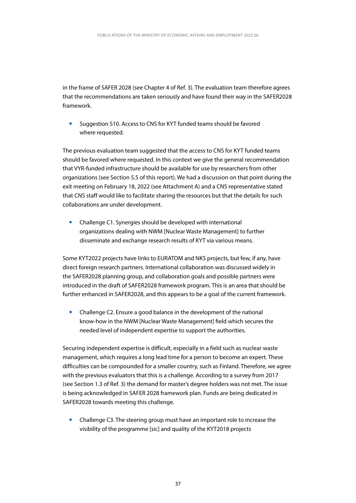in the frame of SAFER 2028 (see Chapter 4 of Ref. 3). The evaluation team therefore agrees that the recommendations are taken seriously and have found their way in the SAFER2028 framework.

• Suggestion S10. Access to CNS for KYT funded teams should be favored where requested.

The previous evaluation team suggested that the access to CNS for KYT funded teams should be favored where requested. In this context we give the general recommendation that VYR-funded infrastructure should be available for use by researchers from other organizations (see Section 5.5 of this report). We had a discussion on that point during the exit meeting on February 18, 2022 (see Attachment A) and a CNS representative stated that CNS staff would like to facilitate sharing the resources but that the details for such collaborations are under development.

Challenge C1. Synergies should be developed with international organizations dealing with NWM [Nuclear Waste Management] to further disseminate and exchange research results of KYT via various means.

Some KYT2022 projects have links to EURATOM and NKS projects, but few, if any, have direct foreign research partners. International collaboration was discussed widely in the SAFER2028 planning group, and collaboration goals and possible partners were introduced in the draft of SAFER2028 framework program. This is an area that should be further enhanced in SAFER2028, and this appears to be a goal of the current framework.

• Challenge C2. Ensure a good balance in the development of the national know-how in the NWM [Nuclear Waste Management] field which secures the needed level of independent expertise to support the authorities.

Securing independent expertise is difficult, especially in a field such as nuclear waste management, which requires a long lead time for a person to become an expert. These difficulties can be compounded for a smaller country, such as Finland. Therefore, we agree with the previous evaluators that this is a challenge. According to a survey from 2017 (see Section 1.3 of Ref. 3) the demand for master's degree holders was not met. The issue is being acknowledged in SAFER 2028 framework plan. Funds are being dedicated in SAFER2028 towards meeting this challenge.

• Challenge C3. The steering group must have an important role to increase the visibility of the programme [sic] and quality of the KYT2018 projects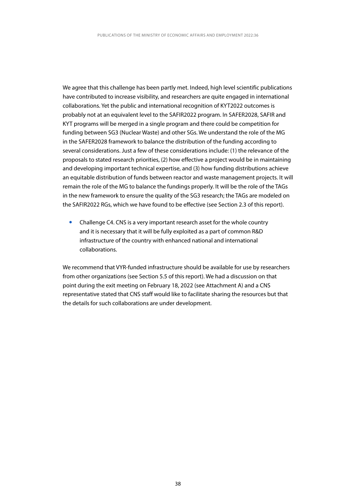We agree that this challenge has been partly met. Indeed, high level scientific publications have contributed to increase visibility, and researchers are quite engaged in international collaborations. Yet the public and international recognition of KYT2022 outcomes is probably not at an equivalent level to the SAFIR2022 program. In SAFER2028, SAFIR and KYT programs will be merged in a single program and there could be competition for funding between SG3 (Nuclear Waste) and other SGs. We understand the role of the MG in the SAFER2028 framework to balance the distribution of the funding according to several considerations. Just a few of these considerations include: (1) the relevance of the proposals to stated research priorities, (2) how effective a project would be in maintaining and developing important technical expertise, and (3) how funding distributions achieve an equitable distribution of funds between reactor and waste management projects. It will remain the role of the MG to balance the fundings properly. It will be the role of the TAGs in the new framework to ensure the quality of the SG3 research; the TAGs are modeled on the SAFIR2022 RGs, which we have found to be effective (see Section 2.3 of this report).

• Challenge C4. CNS is a very important research asset for the whole country and it is necessary that it will be fully exploited as a part of common R&D infrastructure of the country with enhanced national and international collaborations.

We recommend that VYR-funded infrastructure should be available for use by researchers from other organizations (see Section 5.5 of this report). We had a discussion on that point during the exit meeting on February 18, 2022 (see Attachment A) and a CNS representative stated that CNS staff would like to facilitate sharing the resources but that the details for such collaborations are under development.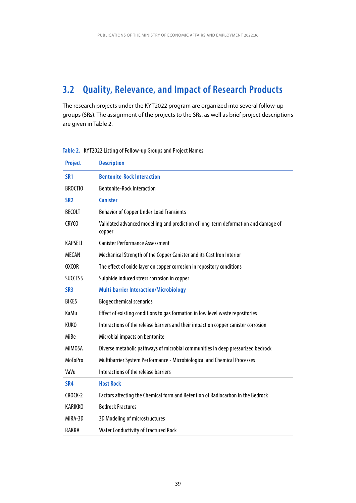## <span id="page-39-0"></span>**3.2 Quality, Relevance, and Impact of Research Products**

The research projects under the KYT2022 program are organized into several follow-up groups (SRs). The assignment of the projects to the SRs, as well as brief project descriptions are given in Table 2.

| <b>Project</b>  | <b>Description</b>                                                                           |
|-----------------|----------------------------------------------------------------------------------------------|
| SR <sub>1</sub> | <b>Bentonite-Rock Interaction</b>                                                            |
| <b>BROCTIO</b>  | <b>Bentonite-Rock Interaction</b>                                                            |
| SR <sub>2</sub> | <b>Canister</b>                                                                              |
| <b>BECOLT</b>   | <b>Behavior of Copper Under Load Transients</b>                                              |
| CRYCO           | Validated advanced modelling and prediction of long-term deformation and damage of<br>copper |
| KAPSELI         | <b>Canister Performance Assessment</b>                                                       |
| <b>MECAN</b>    | Mechanical Strength of the Copper Canister and its Cast Iron Interior                        |
| <b>OXCOR</b>    | The effect of oxide layer on copper corrosion in repository conditions                       |
| <b>SUCCESS</b>  | Sulphide induced stress corrosion in copper                                                  |
| SR <sub>3</sub> | <b>Multi-barrier Interaction/Microbiology</b>                                                |
| <b>BIKES</b>    | <b>Biogeochemical scenarios</b>                                                              |
| KaMu            | Effect of existing conditions to gas formation in low level waste repositories               |
| <b>KUKO</b>     | Interactions of the release barriers and their impact on copper canister corrosion           |
| MiBe            | Microbial impacts on bentonite                                                               |
| <b>MIMOSA</b>   | Diverse metabolic pathways of microbial communities in deep pressurized bedrock              |
| <b>MoToPro</b>  | Multibarrier System Performance - Microbiological and Chemical Processes                     |
| VaVu            | Interactions of the release barriers                                                         |
| SR <sub>4</sub> | <b>Host Rock</b>                                                                             |
| CROCK-2         | Factors affecting the Chemical form and Retention of Radiocarbon in the Bedrock              |
| KARIKKO         | <b>Bedrock Fractures</b>                                                                     |
| MIRA-3D         | 3D Modeling of microstructures                                                               |
| RAKKA           | <b>Water Conductivity of Fractured Rock</b>                                                  |

**Table 2.** KYT2022 Listing of Follow-up Groups and Project Names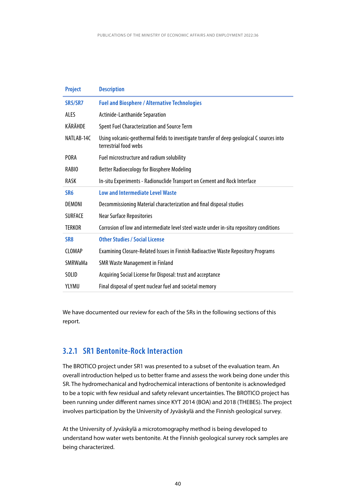<span id="page-40-0"></span>

| <b>Project</b>  | <b>Description</b>                                                                                                  |
|-----------------|---------------------------------------------------------------------------------------------------------------------|
| SR5/SR7         | <b>Fuel and Biosphere / Alternative Technologies</b>                                                                |
| ALES            | Actinide-Lanthanide Separation                                                                                      |
| KÄRÄHDE         | Spent Fuel Characterization and Source Term                                                                         |
| NATLAB-14C      | Using volcanic-geothermal fields to investigate transfer of deep geological C sources into<br>terrestrial food webs |
| <b>PORA</b>     | Fuel microstructure and radium solubility                                                                           |
| RABIO           | <b>Better Radioecology for Biosphere Modeling</b>                                                                   |
| <b>RASK</b>     | In-situ Experiments - Radionuclide Transport on Cement and Rock Interface                                           |
| SR <sub>6</sub> | <b>Low and Intermediate Level Waste</b>                                                                             |
| DEMONI          | Decommissioning Material characterization and final disposal studies                                                |
| <b>SURFACE</b>  | <b>Near Surface Repositories</b>                                                                                    |
| <b>TERKOR</b>   | Corrosion of low and intermediate level steel waste under in-situ repository conditions                             |
| SR <sub>8</sub> | <b>Other Studies / Social License</b>                                                                               |
| <b>CLOMAP</b>   | Examining Closure-Related Issues in Finnish Radioactive Waste Repository Programs                                   |
| <b>SMRWaMa</b>  | <b>SMR Waste Management in Finland</b>                                                                              |
| <b>SOLID</b>    | Acquiring Social License for Disposal: trust and acceptance                                                         |
| YLYMU           | Final disposal of spent nuclear fuel and societal memory                                                            |

We have documented our review for each of the SRs in the following sections of this report.

### **3.2.1 SR1 Bentonite-Rock Interaction**

The BROTICO project under SR1 was presented to a subset of the evaluation team. An overall introduction helped us to better frame and assess the work being done under this SR. The hydromechanical and hydrochemical interactions of bentonite is acknowledged to be a topic with few residual and safety relevant uncertainties. The BROTICO project has been running under different names since KYT 2014 (BOA) and 2018 (THEBES). The project involves participation by the University of Jyväskylä and the Finnish geological survey.

At the University of Jyväskylä a microtomography method is being developed to understand how water wets bentonite. At the Finnish geological survey rock samples are being characterized.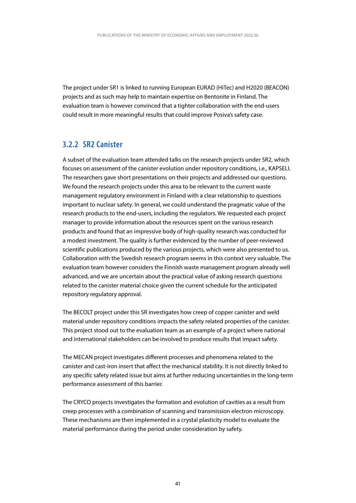<span id="page-41-0"></span>The project under SR1 is linked to running European EURAD (HiTec) and H2020 (BEACON) projects and as such may help to maintain expertise on Bentonite in Finland. The evaluation team is however convinced that a tighter collaboration with the end-users could result in more meaningful results that could improve Posiva's safety case.

### **3.2.2 SR2 Canister**

A subset of the evaluation team attended talks on the research projects under SR2, which focuses on assessment of the canister evolution under repository conditions, i.e., KAPSELI. The researchers gave short presentations on their projects and addressed our questions. We found the research projects under this area to be relevant to the current waste management regulatory environment in Finland with a clear relationship to questions important to nuclear safety. In general, we could understand the pragmatic value of the research products to the end-users, including the regulators. We requested each project manager to provide information about the resources spent on the various research products and found that an impressive body of high-quality research was conducted for a modest investment. The quality is further evidenced by the number of peer-reviewed scientific publications produced by the various projects, which were also presented to us. Collaboration with the Swedish research program seems in this context very valuable. The evaluation team however considers the Finnish waste management program already well advanced, and we are uncertain about the practical value of asking research questions related to the canister material choice given the current schedule for the anticipated repository regulatory approval.

The BECOLT project under this SR investigates how creep of copper canister and weld material under repository conditions impacts the safety related properties of the canister. This project stood out to the evaluation team as an example of a project where national and international stakeholders can be involved to produce results that impact safety.

The MECAN project investigates different processes and phenomena related to the canister and cast-iron insert that affect the mechanical stability. It is not directly linked to any specific safety related issue but aims at further reducing uncertainties in the long-term performance assessment of this barrier.

The CRYCO projects investigates the formation and evolution of cavities as a result from creep processes with a combination of scanning and transmission electron microscopy. These mechanisms are then implemented in a crystal plasticity model to evaluate the material performance during the period under consideration by safety.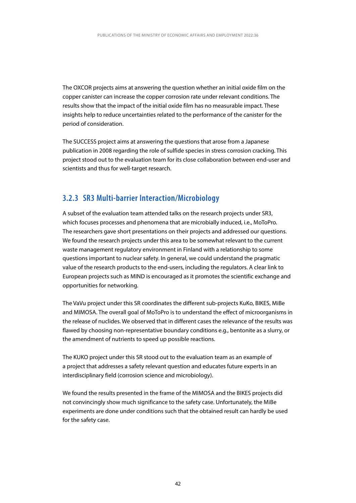<span id="page-42-0"></span>The OXCOR projects aims at answering the question whether an initial oxide film on the copper canister can increase the copper corrosion rate under relevant conditions. The results show that the impact of the initial oxide film has no measurable impact. These insights help to reduce uncertainties related to the performance of the canister for the period of consideration.

The SUCCESS project aims at answering the questions that arose from a Japanese publication in 2008 regarding the role of sulfide species in stress corrosion cracking. This project stood out to the evaluation team for its close collaboration between end-user and scientists and thus for well-target research.

### **3.2.3 SR3 Multi-barrier Interaction/Microbiology**

A subset of the evaluation team attended talks on the research projects under SR3, which focuses processes and phenomena that are microbially induced, i.e., MoToPro. The researchers gave short presentations on their projects and addressed our questions. We found the research projects under this area to be somewhat relevant to the current waste management regulatory environment in Finland with a relationship to some questions important to nuclear safety. In general, we could understand the pragmatic value of the research products to the end-users, including the regulators. A clear link to European projects such as MIND is encouraged as it promotes the scientific exchange and opportunities for networking.

The VaVu project under this SR coordinates the different sub-projects KuKo, BIKES, MiBe and MIMOSA. The overall goal of MoToPro is to understand the effect of microorganisms in the release of nuclides. We observed that in different cases the relevance of the results was flawed by choosing non-representative boundary conditions e.g., bentonite as a slurry, or the amendment of nutrients to speed up possible reactions.

The KUKO project under this SR stood out to the evaluation team as an example of a project that addresses a safety relevant question and educates future experts in an interdisciplinary field (corrosion science and microbiology).

We found the results presented in the frame of the MIMOSA and the BIKES projects did not convincingly show much significance to the safety case. Unfortunately, the MiBe experiments are done under conditions such that the obtained result can hardly be used for the safety case.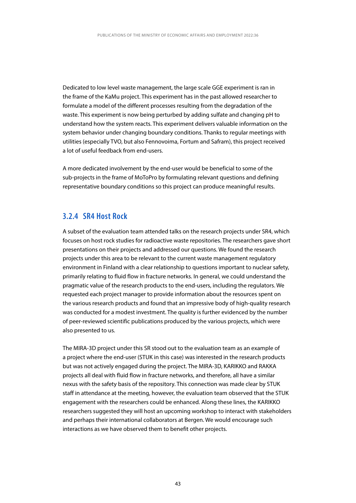<span id="page-43-0"></span>Dedicated to low level waste management, the large scale GGE experiment is ran in the frame of the KaMu project. This experiment has in the past allowed researcher to formulate a model of the different processes resulting from the degradation of the waste. This experiment is now being perturbed by adding sulfate and changing pH to understand how the system reacts. This experiment delivers valuable information on the system behavior under changing boundary conditions. Thanks to regular meetings with utilities (especially TVO, but also Fennovoima, Fortum and Safram), this project received a lot of useful feedback from end-users.

A more dedicated involvement by the end-user would be beneficial to some of the sub-projects in the frame of MoToPro by formulating relevant questions and defining representative boundary conditions so this project can produce meaningful results.

### **3.2.4 SR4 Host Rock**

A subset of the evaluation team attended talks on the research projects under SR4, which focuses on host rock studies for radioactive waste repositories. The researchers gave short presentations on their projects and addressed our questions. We found the research projects under this area to be relevant to the current waste management regulatory environment in Finland with a clear relationship to questions important to nuclear safety, primarily relating to fluid flow in fracture networks. In general, we could understand the pragmatic value of the research products to the end-users, including the regulators. We requested each project manager to provide information about the resources spent on the various research products and found that an impressive body of high-quality research was conducted for a modest investment. The quality is further evidenced by the number of peer-reviewed scientific publications produced by the various projects, which were also presented to us.

The MIRA-3D project under this SR stood out to the evaluation team as an example of a project where the end-user (STUK in this case) was interested in the research products but was not actively engaged during the project. The MIRA-3D, KARIKKO and RAKKA projects all deal with fluid flow in fracture networks, and therefore, all have a similar nexus with the safety basis of the repository. This connection was made clear by STUK staff in attendance at the meeting, however, the evaluation team observed that the STUK engagement with the researchers could be enhanced. Along these lines, the KARIKKO researchers suggested they will host an upcoming workshop to interact with stakeholders and perhaps their international collaborators at Bergen. We would encourage such interactions as we have observed them to benefit other projects.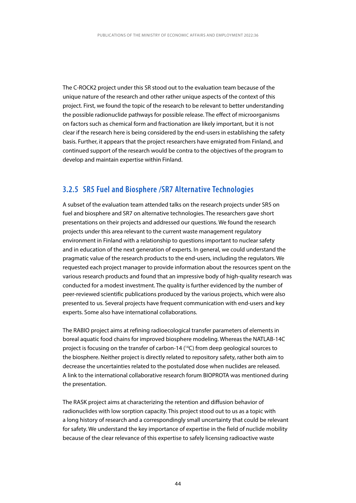<span id="page-44-0"></span>The C-ROCK2 project under this SR stood out to the evaluation team because of the unique nature of the research and other rather unique aspects of the context of this project. First, we found the topic of the research to be relevant to better understanding the possible radionuclide pathways for possible release. The effect of microorganisms on factors such as chemical form and fractionation are likely important, but it is not clear if the research here is being considered by the end-users in establishing the safety basis. Further, it appears that the project researchers have emigrated from Finland, and continued support of the research would be contra to the objectives of the program to develop and maintain expertise within Finland.

### **3.2.5 SR5 Fuel and Biosphere /SR7 Alternative Technologies**

A subset of the evaluation team attended talks on the research projects under SR5 on fuel and biosphere and SR7 on alternative technologies. The researchers gave short presentations on their projects and addressed our questions. We found the research projects under this area relevant to the current waste management regulatory environment in Finland with a relationship to questions important to nuclear safety and in education of the next generation of experts. In general, we could understand the pragmatic value of the research products to the end-users, including the regulators. We requested each project manager to provide information about the resources spent on the various research products and found that an impressive body of high-quality research was conducted for a modest investment. The quality is further evidenced by the number of peer-reviewed scientific publications produced by the various projects, which were also presented to us. Several projects have frequent communication with end-users and key experts. Some also have international collaborations.

The RABIO project aims at refining radioecological transfer parameters of elements in boreal aquatic food chains for improved biosphere modeling. Whereas the NATLAB-14C project is focusing on the transfer of carbon-14 (<sup>14</sup>C) from deep geological sources to the biosphere. Neither project is directly related to repository safety, rather both aim to decrease the uncertainties related to the postulated dose when nuclides are released. A link to the international collaborative research forum BIOPROTA was mentioned during the presentation.

The RASK project aims at characterizing the retention and diffusion behavior of radionuclides with low sorption capacity. This project stood out to us as a topic with a long history of research and a correspondingly small uncertainty that could be relevant for safety. We understand the key importance of expertise in the field of nuclide mobility because of the clear relevance of this expertise to safely licensing radioactive waste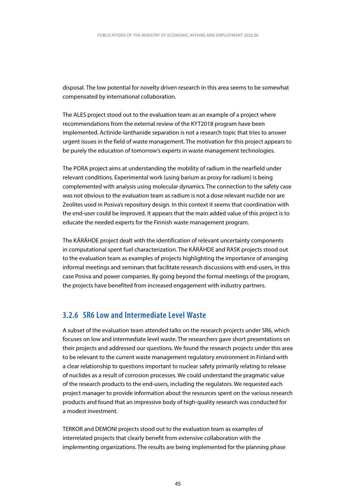<span id="page-45-0"></span>disposal. The low potential for novelty driven research in this area seems to be somewhat compensated by international collaboration.

The ALES project stood out to the evaluation team as an example of a project where recommendations from the external review of the KYT2018 program have been implemented. Actinide-lanthanide separation is not a research topic that tries to answer urgent issues in the field of waste management. The motivation for this project appears to be purely the education of tomorrow's experts in waste management technologies.

The PORA project aims at understanding the mobility of radium in the nearfield under relevant conditions. Experimental work (using barium as proxy for radium) is being complemented with analysis using molecular dynamics. The connection to the safety case was not obvious to the evaluation team as radium is not a dose relevant nuclide nor are Zeolites used in Posiva's repository design. In this context it seems that coordination with the end-user could be improved. It appears that the main added value of this project is to educate the needed experts for the Finnish waste management program.

The KÄRÄHDE project dealt with the identification of relevant uncertainty components in computational spent fuel characterization. The KÄRÄHDE and RASK projects stood out to the evaluation team as examples of projects highlighting the importance of arranging informal meetings and seminars that facilitate research discussions with end-users, in this case Posiva and power companies. By going beyond the formal meetings of the program, the projects have benefited from increased engagement with industry partners.

### **3.2.6 SR6 Low and Intermediate Level Waste**

A subset of the evaluation team attended talks on the research projects under SR6, which focuses on low and intermediate level waste. The researchers gave short presentations on their projects and addressed our questions. We found the research projects under this area to be relevant to the current waste management regulatory environment in Finland with a clear relationship to questions important to nuclear safety primarily relating to release of nuclides as a result of corrosion processes. We could understand the pragmatic value of the research products to the end-users, including the regulators. We requested each project manager to provide information about the resources spent on the various research products and found that an impressive body of high-quality research was conducted for a modest investment.

TERKOR and DEMONI projects stood out to the evaluation team as examples of interrelated projects that clearly benefit from extensive collaboration with the implementing organizations. The results are being implemented for the planning phase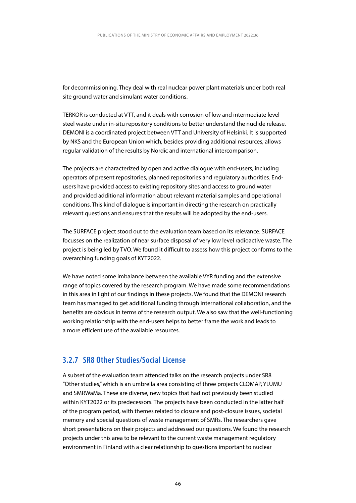<span id="page-46-0"></span>for decommissioning. They deal with real nuclear power plant materials under both real site ground water and simulant water conditions.

TERKOR is conducted at VTT, and it deals with corrosion of low and intermediate level steel waste under in-situ repository conditions to better understand the nuclide release. DEMONI is a coordinated project between VTT and University of Helsinki. It is supported by NKS and the European Union which, besides providing additional resources, allows regular validation of the results by Nordic and international intercomparison.

The projects are characterized by open and active dialogue with end-users, including operators of present repositories, planned repositories and regulatory authorities. Endusers have provided access to existing repository sites and access to ground water and provided additional information about relevant material samples and operational conditions. This kind of dialogue is important in directing the research on practically relevant questions and ensures that the results will be adopted by the end-users.

The SURFACE project stood out to the evaluation team based on its relevance. SURFACE focusses on the realization of near surface disposal of very low level radioactive waste. The project is being led by TVO. We found it difficult to assess how this project conforms to the overarching funding goals of KYT2022.

We have noted some imbalance between the available VYR funding and the extensive range of topics covered by the research program. We have made some recommendations in this area in light of our findings in these projects. We found that the DEMONI research team has managed to get additional funding through international collaboration, and the benefits are obvious in terms of the research output. We also saw that the well-functioning working relationship with the end-users helps to better frame the work and leads to a more efficient use of the available resources.

### **3.2.7 SR8 Other Studies/Social License**

A subset of the evaluation team attended talks on the research projects under SR8 "Other studies," which is an umbrella area consisting of three projects CLOMAP, YLUMU and SMRWaMa. These are diverse, new topics that had not previously been studied within KYT2022 or its predecessors. The projects have been conducted in the latter half of the program period, with themes related to closure and post-closure issues, societal memory and special questions of waste management of SMRs. The researchers gave short presentations on their projects and addressed our questions. We found the research projects under this area to be relevant to the current waste management regulatory environment in Finland with a clear relationship to questions important to nuclear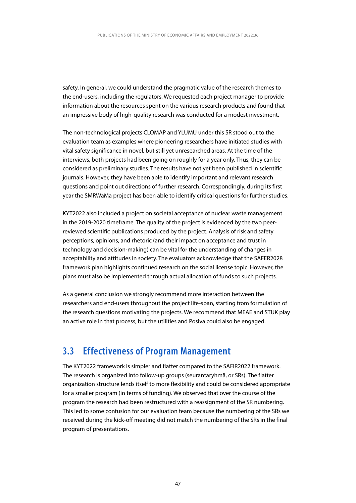<span id="page-47-0"></span>safety. In general, we could understand the pragmatic value of the research themes to the end-users, including the regulators. We requested each project manager to provide information about the resources spent on the various research products and found that an impressive body of high-quality research was conducted for a modest investment.

The non-technological projects CLOMAP and YLUMU under this SR stood out to the evaluation team as examples where pioneering researchers have initiated studies with vital safety significance in novel, but still yet unresearched areas. At the time of the interviews, both projects had been going on roughly for a year only. Thus, they can be considered as preliminary studies. The results have not yet been published in scientific journals. However, they have been able to identify important and relevant research questions and point out directions of further research. Correspondingly, during its first year the SMRWaMa project has been able to identify critical questions for further studies.

KYT2022 also included a project on societal acceptance of nuclear waste management in the 2019-2020 timeframe. The quality of the project is evidenced by the two peerreviewed scientific publications produced by the project. Analysis of risk and safety perceptions, opinions, and rhetoric (and their impact on acceptance and trust in technology and decision-making) can be vital for the understanding of changes in acceptability and attitudes in society. The evaluators acknowledge that the SAFER2028 framework plan highlights continued research on the social license topic. However, the plans must also be implemented through actual allocation of funds to such projects.

As a general conclusion we strongly recommend more interaction between the researchers and end-users throughout the project life-span, starting from formulation of the research questions motivating the projects. We recommend that MEAE and STUK play an active role in that process, but the utilities and Posiva could also be engaged.

## **3.3 Effectiveness of Program Management**

The KYT2022 framework is simpler and flatter compared to the SAFIR2022 framework. The research is organized into follow-up groups (seurantaryhmä, or SRs). The flatter organization structure lends itself to more flexibility and could be considered appropriate for a smaller program (in terms of funding). We observed that over the course of the program the research had been restructured with a reassignment of the SR numbering. This led to some confusion for our evaluation team because the numbering of the SRs we received during the kick-off meeting did not match the numbering of the SRs in the final program of presentations.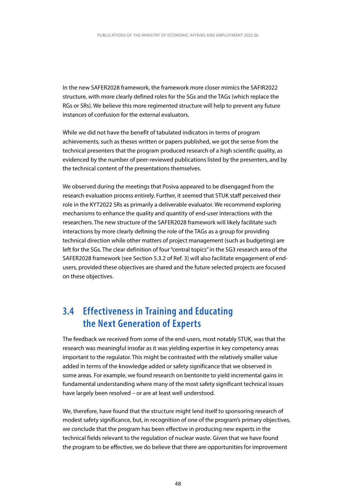<span id="page-48-0"></span>In the new SAFER2028 framework, the framework more closer mimics the SAFIR2022 structure, with more clearly defined roles for the SGs and the TAGs (which replace the RGs or SRs). We believe this more regimented structure will help to prevent any future instances of confusion for the external evaluators.

While we did not have the benefit of tabulated indicators in terms of program achievements, such as theses written or papers published, we got the sense from the technical presenters that the program produced research of a high scientific quality, as evidenced by the number of peer-reviewed publications listed by the presenters, and by the technical content of the presentations themselves.

We observed during the meetings that Posiva appeared to be disengaged from the research evaluation process entirely. Further, it seemed that STUK staff perceived their role in the KYT2022 SRs as primarily a deliverable evaluator. We recommend exploring mechanisms to enhance the quality and quantity of end-user interactions with the researchers. The new structure of the SAFER2028 framework will likely facilitate such interactions by more clearly defining the role of the TAGs as a group for providing technical direction while other matters of project management (such as budgeting) are left for the SGs. The clear definition of four "central topics" in the SG3 research area of the SAFER2028 framework (see Section 5.3.2 of Ref. 3) will also facilitate engagement of endusers, provided these objectives are shared and the future selected projects are focused on these objectives.

## **3.4 Effectiveness in Training and Educating the Next Generation of Experts**

The feedback we received from some of the end-users, most notably STUK, was that the research was meaningful insofar as it was yielding expertise in key competency areas important to the regulator. This might be contrasted with the relatively smaller value added in terms of the knowledge added or safety significance that we observed in some areas. For example, we found research on bentonite to yield incremental gains in fundamental understanding where many of the most safety significant technical issues have largely been resolved – or are at least well understood.

We, therefore, have found that the structure might lend itself to sponsoring research of modest safety significance, but, in recognition of one of the program's primary objectives, we conclude that the program has been effective in producing new experts in the technical fields relevant to the regulation of nuclear waste. Given that we have found the program to be effective, we do believe that there are opportunities for improvement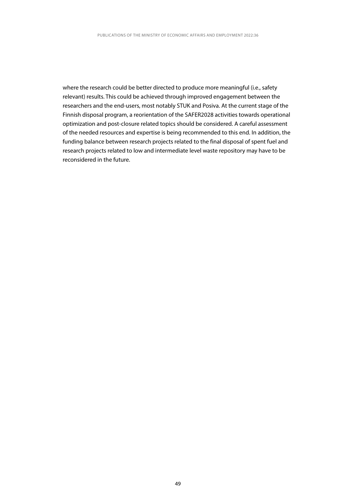where the research could be better directed to produce more meaningful (i.e., safety relevant) results. This could be achieved through improved engagement between the researchers and the end-users, most notably STUK and Posiva. At the current stage of the Finnish disposal program, a reorientation of the SAFER2028 activities towards operational optimization and post-closure related topics should be considered. A careful assessment of the needed resources and expertise is being recommended to this end. In addition, the funding balance between research projects related to the final disposal of spent fuel and research projects related to low and intermediate level waste repository may have to be reconsidered in the future.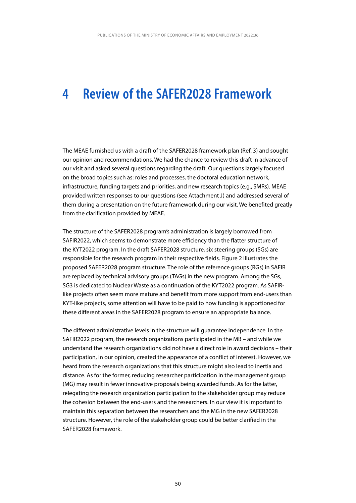## <span id="page-50-0"></span>**4 Review of the SAFER2028 Framework**

The MEAE furnished us with a draft of the SAFER2028 framework plan (Ref. 3) and sought our opinion and recommendations. We had the chance to review this draft in advance of our visit and asked several questions regarding the draft. Our questions largely focused on the broad topics such as: roles and processes, the doctoral education network, infrastructure, funding targets and priorities, and new research topics (e.g., SMRs). MEAE provided written responses to our questions (see Attachment J) and addressed several of them during a presentation on the future framework during our visit. We benefited greatly from the clarification provided by MEAE.

The structure of the SAFER2028 program's administration is largely borrowed from SAFIR2022, which seems to demonstrate more efficiency than the flatter structure of the KYT2022 program. In the draft SAFER2028 structure, six steering groups (SGs) are responsible for the research program in their respective fields. Figure 2 illustrates the proposed SAFER2028 program structure. The role of the reference groups (RGs) in SAFIR are replaced by technical advisory groups (TAGs) in the new program. Among the SGs, SG3 is dedicated to Nuclear Waste as a continuation of the KYT2022 program. As SAFIRlike projects often seem more mature and benefit from more support from end-users than KYT-like projects, some attention will have to be paid to how funding is apportioned for these different areas in the SAFER2028 program to ensure an appropriate balance.

The different administrative levels in the structure will guarantee independence. In the SAFIR2022 program, the research organizations participated in the MB – and while we understand the research organizations did not have a direct role in award decisions – their participation, in our opinion, created the appearance of a conflict of interest. However, we heard from the research organizations that this structure might also lead to inertia and distance. As for the former, reducing researcher participation in the management group (MG) may result in fewer innovative proposals being awarded funds. As for the latter, relegating the research organization participation to the stakeholder group may reduce the cohesion between the end-users and the researchers. In our view it is important to maintain this separation between the researchers and the MG in the new SAFER2028 structure. However, the role of the stakeholder group could be better clarified in the SAFER2028 framework.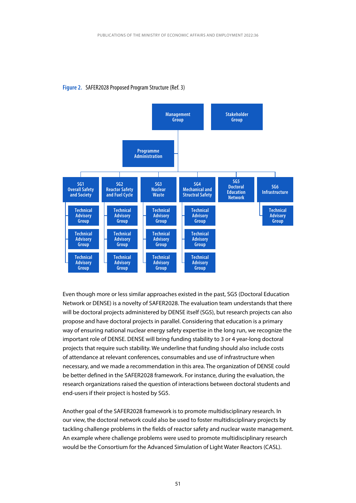

#### **Figure 2.** SAFER2028 Proposed Program Structure (Ref. 3)

Even though more or less similar approaches existed in the past, SG5 (Doctoral Education Network or DENSE) is a novelty of SAFER2028. The evaluation team understands that there will be doctoral projects administered by DENSE itself (SG5), but research projects can also propose and have doctoral projects in parallel. Considering that education is a primary way of ensuring national nuclear energy safety expertise in the long run, we recognize the important role of DENSE. DENSE will bring funding stability to 3 or 4 year-long doctoral projects that require such stability. We underline that funding should also include costs of attendance at relevant conferences, consumables and use of infrastructure when necessary, and we made a recommendation in this area. The organization of DENSE could be better defined in the SAFER2028 framework. For instance, during the evaluation, the research organizations raised the question of interactions between doctoral students and end-users if their project is hosted by SG5.

Another goal of the SAFER2028 framework is to promote multidisciplinary research. In our view, the doctoral network could also be used to foster multidisciplinary projects by tackling challenge problems in the fields of reactor safety and nuclear waste management. An example where challenge problems were used to promote multidisciplinary research would be the Consortium for the Advanced Simulation of Light Water Reactors (CASL).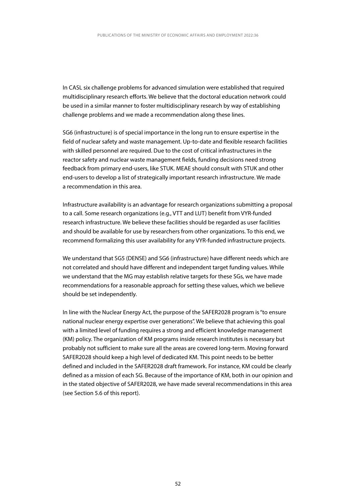In CASL six challenge problems for advanced simulation were established that required multidisciplinary research efforts. We believe that the doctoral education network could be used in a similar manner to foster multidisciplinary research by way of establishing challenge problems and we made a recommendation along these lines.

SG6 (infrastructure) is of special importance in the long run to ensure expertise in the field of nuclear safety and waste management. Up-to-date and flexible research facilities with skilled personnel are required. Due to the cost of critical infrastructures in the reactor safety and nuclear waste management fields, funding decisions need strong feedback from primary end-users, like STUK. MEAE should consult with STUK and other end-users to develop a list of strategically important research infrastructure. We made a recommendation in this area.

Infrastructure availability is an advantage for research organizations submitting a proposal to a call. Some research organizations (e.g., VTT and LUT) benefit from VYR-funded research infrastructure. We believe these facilities should be regarded as user facilities and should be available for use by researchers from other organizations. To this end, we recommend formalizing this user availability for any VYR-funded infrastructure projects.

We understand that SG5 (DENSE) and SG6 (infrastructure) have different needs which are not correlated and should have different and independent target funding values. While we understand that the MG may establish relative targets for these SGs, we have made recommendations for a reasonable approach for setting these values, which we believe should be set independently.

In line with the Nuclear Energy Act, the purpose of the SAFER2028 program is "to ensure national nuclear energy expertise over generations". We believe that achieving this goal with a limited level of funding requires a strong and efficient knowledge management (KM) policy. The organization of KM programs inside research institutes is necessary but probably not sufficient to make sure all the areas are covered long-term. Moving forward SAFER2028 should keep a high level of dedicated KM. This point needs to be better defined and included in the SAFER2028 draft framework. For instance, KM could be clearly defined as a mission of each SG. Because of the importance of KM, both in our opinion and in the stated objective of SAFER2028, we have made several recommendations in this area (see Section 5.6 of this report).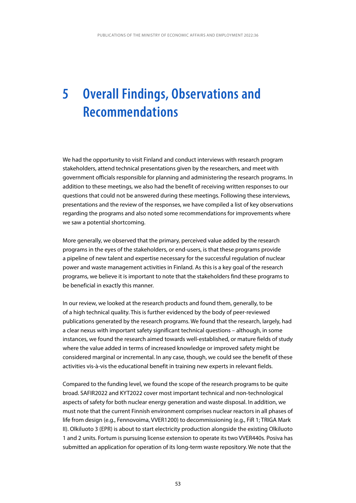## <span id="page-53-0"></span>**5 Overall Findings, Observations and Recommendations**

We had the opportunity to visit Finland and conduct interviews with research program stakeholders, attend technical presentations given by the researchers, and meet with government officials responsible for planning and administering the research programs. In addition to these meetings, we also had the benefit of receiving written responses to our questions that could not be answered during these meetings. Following these interviews, presentations and the review of the responses, we have compiled a list of key observations regarding the programs and also noted some recommendations for improvements where we saw a potential shortcoming.

More generally, we observed that the primary, perceived value added by the research programs in the eyes of the stakeholders, or end-users, is that these programs provide a pipeline of new talent and expertise necessary for the successful regulation of nuclear power and waste management activities in Finland. As this is a key goal of the research programs, we believe it is important to note that the stakeholders find these programs to be beneficial in exactly this manner.

In our review, we looked at the research products and found them, generally, to be of a high technical quality. This is further evidenced by the body of peer-reviewed publications generated by the research programs. We found that the research, largely, had a clear nexus with important safety significant technical questions – although, in some instances, we found the research aimed towards well-established, or mature fields of study where the value added in terms of increased knowledge or improved safety might be considered marginal or incremental. In any case, though, we could see the benefit of these activities vis-à-vis the educational benefit in training new experts in relevant fields.

Compared to the funding level, we found the scope of the research programs to be quite broad. SAFIR2022 and KYT2022 cover most important technical and non-technological aspects of safety for both nuclear energy generation and waste disposal. In addition, we must note that the current Finnish environment comprises nuclear reactors in all phases of life from design (e.g., Fennovoima, VVER1200) to decommissioning (e.g., FiR 1; TRIGA Mark II). Olkiluoto 3 (EPR) is about to start electricity production alongside the existing Olkiluoto 1 and 2 units. Fortum is pursuing license extension to operate its two VVER440s. Posiva has submitted an application for operation of its long-term waste repository. We note that the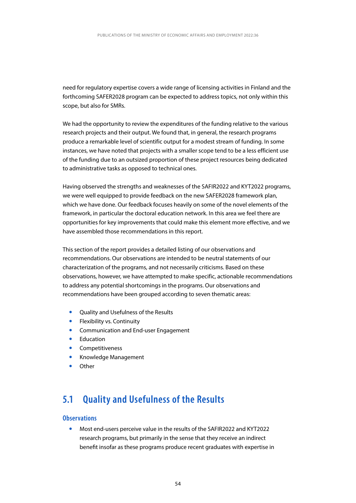<span id="page-54-0"></span>need for regulatory expertise covers a wide range of licensing activities in Finland and the forthcoming SAFER2028 program can be expected to address topics, not only within this scope, but also for SMRs.

We had the opportunity to review the expenditures of the funding relative to the various research projects and their output. We found that, in general, the research programs produce a remarkable level of scientific output for a modest stream of funding. In some instances, we have noted that projects with a smaller scope tend to be a less efficient use of the funding due to an outsized proportion of these project resources being dedicated to administrative tasks as opposed to technical ones.

Having observed the strengths and weaknesses of the SAFIR2022 and KYT2022 programs, we were well equipped to provide feedback on the new SAFER2028 framework plan, which we have done. Our feedback focuses heavily on some of the novel elements of the framework, in particular the doctoral education network. In this area we feel there are opportunities for key improvements that could make this element more effective, and we have assembled those recommendations in this report.

This section of the report provides a detailed listing of our observations and recommendations. Our observations are intended to be neutral statements of our characterization of the programs, and not necessarily criticisms. Based on these observations, however, we have attempted to make specific, actionable recommendations to address any potential shortcomings in the programs. Our observations and recommendations have been grouped according to seven thematic areas:

- Quality and Usefulness of the Results
- Flexibility vs. Continuity
- y Communication and End-user Engagement
- Education
- Competitiveness
- Knowledge Management
- Other

## **5.1 Quality and Usefulness of the Results**

### **Observations**

Most end-users perceive value in the results of the SAFIR2022 and KYT2022 research programs, but primarily in the sense that they receive an indirect benefit insofar as these programs produce recent graduates with expertise in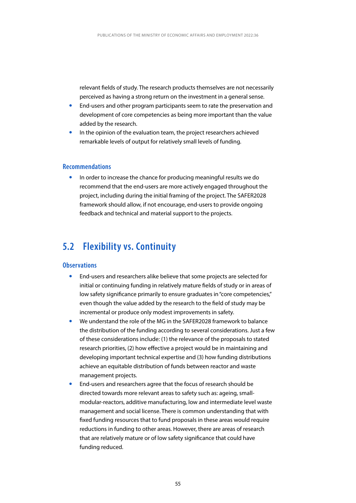<span id="page-55-0"></span>relevant fields of study. The research products themselves are not necessarily perceived as having a strong return on the investment in a general sense.

- End-users and other program participants seem to rate the preservation and development of core competencies as being more important than the value added by the research.
- In the opinion of the evaluation team, the project researchers achieved remarkable levels of output for relatively small levels of funding.

### **Recommendations**

In order to increase the chance for producing meaningful results we do recommend that the end-users are more actively engaged throughout the project, including during the initial framing of the project. The SAFER2028 framework should allow, if not encourage, end-users to provide ongoing feedback and technical and material support to the projects.

## **5.2 Flexibility vs. Continuity**

### **Observations**

- End-users and researchers alike believe that some projects are selected for initial or continuing funding in relatively mature fields of study or in areas of low safety significance primarily to ensure graduates in "core competencies," even though the value added by the research to the field of study may be incremental or produce only modest improvements in safety.
- We understand the role of the MG in the SAFER2028 framework to balance the distribution of the funding according to several considerations. Just a few of these considerations include: (1) the relevance of the proposals to stated research priorities, (2) how effective a project would be in maintaining and developing important technical expertise and (3) how funding distributions achieve an equitable distribution of funds between reactor and waste management projects.
- y End-users and researchers agree that the focus of research should be directed towards more relevant areas to safety such as: ageing, smallmodular-reactors, additive manufacturing, low and intermediate level waste management and social license. There is common understanding that with fixed funding resources that to fund proposals in these areas would require reductions in funding to other areas. However, there are areas of research that are relatively mature or of low safety significance that could have funding reduced.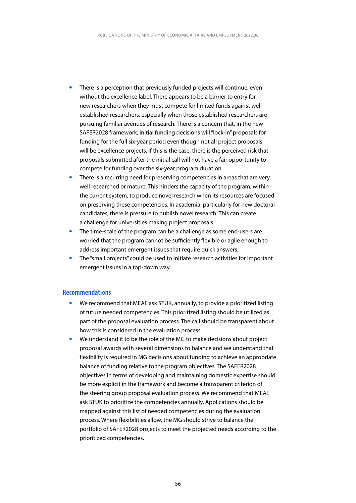- There is a perception that previously funded projects will continue, even without the excellence label. There appears to be a barrier to entry for new researchers when they must compete for limited funds against wellestablished researchers, especially when those established researchers are pursuing familiar avenues of research. There is a concern that, in the new SAFER2028 framework, initial funding decisions will "lock-in" proposals for funding for the full six-year period even though not all project proposals will be excellence projects. If this is the case, there is the perceived risk that proposals submitted after the initial call will not have a fair opportunity to compete for funding over the six-year program duration.
- There is a recurring need for preserving competencies in areas that are very well researched or mature. This hinders the capacity of the program, within the current system, to produce novel research when its resources are focused on preserving these competencies. In academia, particularly for new doctoral candidates, there is pressure to publish novel research. This can create a challenge for universities making project proposals.
- The time-scale of the program can be a challenge as some end-users are worried that the program cannot be sufficiently flexible or agile enough to address important emergent issues that require quick answers.
- The "small projects" could be used to initiate research activities for important emergent issues in a top-down way.

### **Recommendations**

- We recommend that MEAE ask STUK, annually, to provide a prioritized listing of future needed competencies. This prioritized listing should be utilized as part of the proposal evaluation process. The call should be transparent about how this is considered in the evaluation process.
- We understand it to be the role of the MG to make decisions about project proposal awards with several dimensions to balance and we understand that flexibility is required in MG decisions about funding to achieve an appropriate balance of funding relative to the program objectives. The SAFER2028 objectives in terms of developing and maintaining domestic expertise should be more explicit in the framework and become a transparent criterion of the steering group proposal evaluation process. We recommend that MEAE ask STUK to prioritize the competencies annually. Applications should be mapped against this list of needed competencies during the evaluation process. Where flexibilities allow, the MG should strive to balance the portfolio of SAFER2028 projects to meet the projected needs according to the prioritized competencies.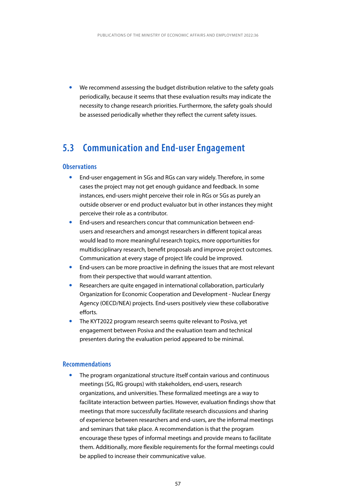<span id="page-57-0"></span>We recommend assessing the budget distribution relative to the safety goals periodically, because it seems that these evaluation results may indicate the necessity to change research priorities. Furthermore, the safety goals should be assessed periodically whether they reflect the current safety issues.

### **5.3 Communication and End-user Engagement**

### **Observations**

- End-user engagement in SGs and RGs can vary widely. Therefore, in some cases the project may not get enough guidance and feedback. In some instances, end-users might perceive their role in RGs or SGs as purely an outside observer or end product evaluator but in other instances they might perceive their role as a contributor.
- End-users and researchers concur that communication between endusers and researchers and amongst researchers in different topical areas would lead to more meaningful research topics, more opportunities for multidisciplinary research, benefit proposals and improve project outcomes. Communication at every stage of project life could be improved.
- End-users can be more proactive in defining the issues that are most relevant from their perspective that would warrant attention.
- Researchers are quite engaged in international collaboration, particularly Organization for Economic Cooperation and Development - Nuclear Energy Agency (OECD/NEA) projects. End-users positively view these collaborative efforts.
- The KYT2022 program research seems quite relevant to Posiva, yet engagement between Posiva and the evaluation team and technical presenters during the evaluation period appeared to be minimal.

### **Recommendations**

The program organizational structure itself contain various and continuous meetings (SG, RG groups) with stakeholders, end-users, research organizations, and universities. These formalized meetings are a way to facilitate interaction between parties. However, evaluation findings show that meetings that more successfully facilitate research discussions and sharing of experience between researchers and end-users, are the informal meetings and seminars that take place. A recommendation is that the program encourage these types of informal meetings and provide means to facilitate them. Additionally, more flexible requirements for the formal meetings could be applied to increase their communicative value.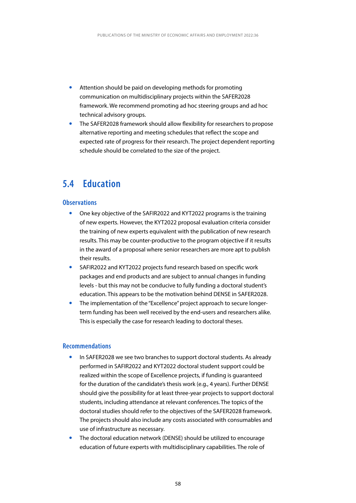- <span id="page-58-0"></span>Attention should be paid on developing methods for promoting communication on multidisciplinary projects within the SAFER2028 framework. We recommend promoting ad hoc steering groups and ad hoc technical advisory groups.
- The SAFER2028 framework should allow flexibility for researchers to propose alternative reporting and meeting schedules that reflect the scope and expected rate of progress for their research. The project dependent reporting schedule should be correlated to the size of the project.

## **5.4 Education**

### **Observations**

- y One key objective of the SAFIR2022 and KYT2022 programs is the training of new experts. However, the KYT2022 proposal evaluation criteria consider the training of new experts equivalent with the publication of new research results. This may be counter-productive to the program objective if it results in the award of a proposal where senior researchers are more apt to publish their results.
- SAFIR2022 and KYT2022 projects fund research based on specific work packages and end products and are subject to annual changes in funding levels - but this may not be conducive to fully funding a doctoral student's education. This appears to be the motivation behind DENSE in SAFER2028.
- The implementation of the "Excellence" project approach to secure longerterm funding has been well received by the end-users and researchers alike. This is especially the case for research leading to doctoral theses.

#### **Recommendations**

- In SAFER2028 we see two branches to support doctoral students. As already performed in SAFIR2022 and KYT2022 doctoral student support could be realized within the scope of Excellence projects, if funding is guaranteed for the duration of the candidate's thesis work (e.g., 4 years). Further DENSE should give the possibility for at least three-year projects to support doctoral students, including attendance at relevant conferences. The topics of the doctoral studies should refer to the objectives of the SAFER2028 framework. The projects should also include any costs associated with consumables and use of infrastructure as necessary.
- The doctoral education network (DENSE) should be utilized to encourage education of future experts with multidisciplinary capabilities. The role of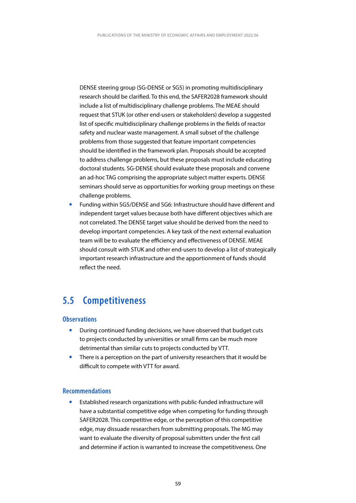<span id="page-59-0"></span>DENSE steering group (SG-DENSE or SG5) in promoting multidisciplinary research should be clarified. To this end, the SAFER2028 framework should include a list of multidisciplinary challenge problems. The MEAE should request that STUK (or other end-users or stakeholders) develop a suggested list of specific multidisciplinary challenge problems in the fields of reactor safety and nuclear waste management. A small subset of the challenge problems from those suggested that feature important competencies should be identified in the framework plan. Proposals should be accepted to address challenge problems, but these proposals must include educating doctoral students. SG-DENSE should evaluate these proposals and convene an ad-hoc TAG comprising the appropriate subject matter experts. DENSE seminars should serve as opportunities for working group meetings on these challenge problems.

y Funding within SG5/DENSE and SG6: Infrastructure should have different and independent target values because both have different objectives which are not correlated. The DENSE target value should be derived from the need to develop important competencies. A key task of the next external evaluation team will be to evaluate the efficiency and effectiveness of DENSE. MEAE should consult with STUK and other end-users to develop a list of strategically important research infrastructure and the apportionment of funds should reflect the need.

## **5.5 Competitiveness**

### **Observations**

- During continued funding decisions, we have observed that budget cuts to projects conducted by universities or small firms can be much more detrimental than similar cuts to projects conducted by VTT.
- There is a perception on the part of university researchers that it would be difficult to compete with VTT for award.

### **Recommendations**

Established research organizations with public-funded infrastructure will have a substantial competitive edge when competing for funding through SAFER2028. This competitive edge, or the perception of this competitive edge, may dissuade researchers from submitting proposals. The MG may want to evaluate the diversity of proposal submitters under the first call and determine if action is warranted to increase the competitiveness. One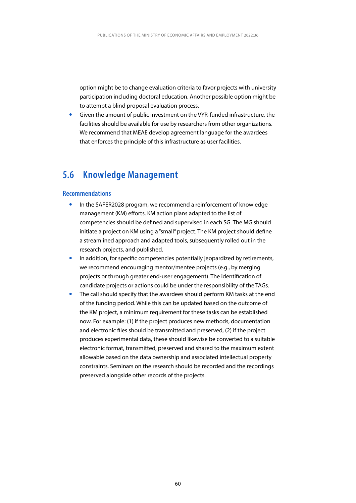<span id="page-60-0"></span>option might be to change evaluation criteria to favor projects with university participation including doctoral education. Another possible option might be to attempt a blind proposal evaluation process.

Given the amount of public investment on the VYR-funded infrastructure, the facilities should be available for use by researchers from other organizations. We recommend that MEAE develop agreement language for the awardees that enforces the principle of this infrastructure as user facilities.

### **5.6 Knowledge Management**

### **Recommendations**

- In the SAFER2028 program, we recommend a reinforcement of knowledge management (KM) efforts. KM action plans adapted to the list of competencies should be defined and supervised in each SG. The MG should initiate a project on KM using a "small" project. The KM project should define a streamlined approach and adapted tools, subsequently rolled out in the research projects, and published.
- In addition, for specific competencies potentially jeopardized by retirements, we recommend encouraging mentor/mentee projects (e.g., by merging projects or through greater end-user engagement). The identification of candidate projects or actions could be under the responsibility of the TAGs.
- The call should specify that the awardees should perform KM tasks at the end of the funding period. While this can be updated based on the outcome of the KM project, a minimum requirement for these tasks can be established now. For example: (1) if the project produces new methods, documentation and electronic files should be transmitted and preserved, (2) if the project produces experimental data, these should likewise be converted to a suitable electronic format, transmitted, preserved and shared to the maximum extent allowable based on the data ownership and associated intellectual property constraints. Seminars on the research should be recorded and the recordings preserved alongside other records of the projects.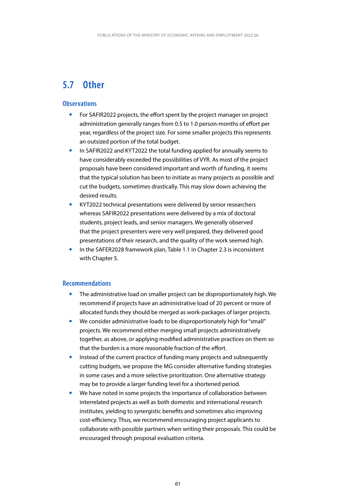## <span id="page-61-0"></span>**5.7 Other**

### **Observations**

- For SAFIR2022 projects, the effort spent by the project manager on project administration generally ranges from 0.5 to 1.0 person-months of effort per year, regardless of the project size. For some smaller projects this represents an outsized portion of the total budget.
- In SAFIR2022 and KYT2022 the total funding applied for annually seems to have considerably exceeded the possibilities of VYR. As most of the project proposals have been considered important and worth of funding, it seems that the typical solution has been to initiate as many projects as possible and cut the budgets, sometimes drastically. This may slow down achieving the desired results.
- KYT2022 technical presentations were delivered by senior researchers whereas SAFIR2022 presentations were delivered by a mix of doctoral students, project leads, and senior managers. We generally observed that the project presenters were very well prepared, they delivered good presentations of their research, and the quality of the work seemed high.
- In the SAFER2028 framework plan, Table 1.1 in Chapter 2.3 is inconsistent with Chapter 5.

### **Recommendations**

- The administrative load on smaller project can be disproportionately high. We recommend if projects have an administrative load of 20 percent or more of allocated funds they should be merged as work-packages of larger projects.
- We consider administrative loads to be disproportionately high for "small" projects. We recommend either merging small projects administratively together, as above, or applying modified administrative practices on them so that the burden is a more reasonable fraction of the effort.
- Instead of the current practice of funding many projects and subsequently cutting budgets, we propose the MG consider alternative funding strategies in some cases and a more selective prioritization. One alternative strategy may be to provide a larger funding level for a shortened period.
- We have noted in some projects the importance of collaboration between interrelated projects as well as both domestic and international research institutes, yielding to synergistic benefits and sometimes also improving cost-efficiency. Thus, we recommend encouraging project applicants to collaborate with possible partners when writing their proposals. This could be encouraged through proposal evaluation criteria.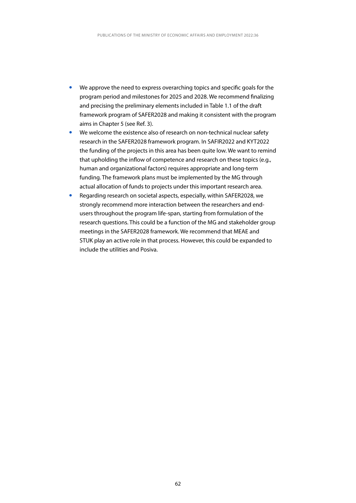- We approve the need to express overarching topics and specific goals for the program period and milestones for 2025 and 2028. We recommend finalizing and precising the preliminary elements included in Table 1.1 of the draft framework program of SAFER2028 and making it consistent with the program aims in Chapter 5 (see Ref. 3).
- We welcome the existence also of research on non-technical nuclear safety research in the SAFER2028 framework program. In SAFIR2022 and KYT2022 the funding of the projects in this area has been quite low. We want to remind that upholding the inflow of competence and research on these topics (e.g., human and organizational factors) requires appropriate and long-term funding. The framework plans must be implemented by the MG through actual allocation of funds to projects under this important research area.
- Regarding research on societal aspects, especially, within SAFER2028, we strongly recommend more interaction between the researchers and endusers throughout the program life-span, starting from formulation of the research questions. This could be a function of the MG and stakeholder group meetings in the SAFER2028 framework. We recommend that MEAE and STUK play an active role in that process. However, this could be expanded to include the utilities and Posiva.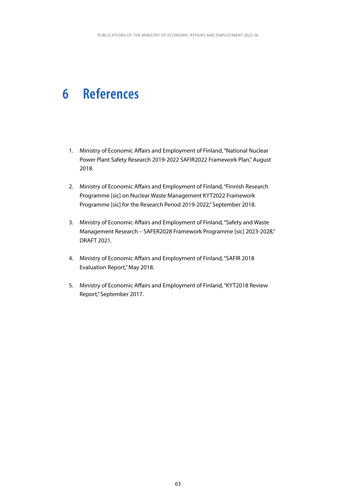## <span id="page-63-0"></span>**6 References**

- 1. Ministry of Economic Affairs and Employment of Finland, "National Nuclear Power Plant Safety Research 2019-2022 SAFIR2022 Framework Plan," August 2018.
- 2. Ministry of Economic Affairs and Employment of Finland, "Finnish Research Programme [sic] on Nuclear Waste Management KYT2022 Framework Programme [sic] for the Research Period 2019-2022," September 2018.
- 3. Ministry of Economic Affairs and Employment of Finland, "Safety and Waste Management Research – SAFER2028 Framework Programme [sic] 2023-2028," DRAFT 2021.
- 4. Ministry of Economic Affairs and Employment of Finland, "SAFIR 2018 Evaluation Report," May 2018.
- 5. Ministry of Economic Affairs and Employment of Finland, "KYT2018 Review Report," September 2017.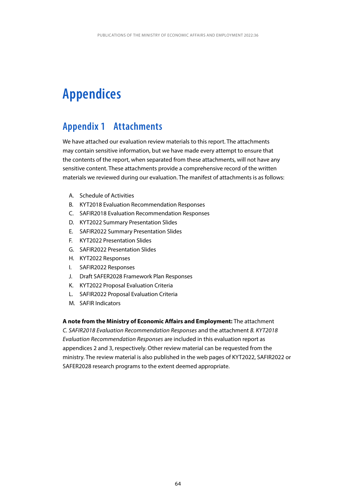## <span id="page-64-0"></span>**Appendices**

## **Appendix 1 Attachments**

We have attached our evaluation review materials to this report. The attachments may contain sensitive information, but we have made every attempt to ensure that the contents of the report, when separated from these attachments, will not have any sensitive content. These attachments provide a comprehensive record of the written materials we reviewed during our evaluation. The manifest of attachments is as follows:

- A. Schedule of Activities
- B. KYT2018 Evaluation Recommendation Responses
- C. SAFIR2018 Evaluation Recommendation Responses
- D. KYT2022 Summary Presentation Slides
- E. SAFIR2022 Summary Presentation Slides
- F. KYT2022 Presentation Slides
- G. SAFIR2022 Presentation Slides
- H. KYT2022 Responses
- I. SAFIR2022 Responses
- J. Draft SAFER2028 Framework Plan Responses
- K. KYT2022 Proposal Evaluation Criteria
- L. SAFIR2022 Proposal Evaluation Criteria
- M. SAFIR Indicators

#### **A note from the Ministry of Economic Affairs and Employment:** The attachment

*C. SAFIR2018 Evaluation Recommendation Responses* and the attachment *B. KYT2018 Evaluation Recommendation Responses* are included in this evaluation report as appendices 2 and 3, respectively. Other review material can be requested from the ministry. The review material is also published in the web pages of KYT2022, SAFIR2022 or SAFER2028 research programs to the extent deemed appropriate.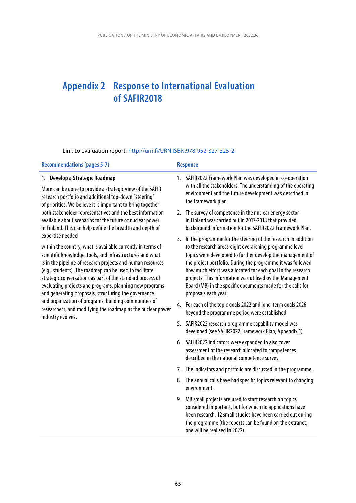## <span id="page-65-0"></span>**Appendix 2 Response to International Evaluation of SAFIR2018**

Link to evaluation report:<http://urn.fi/URN:ISBN:978-952-327-325-2>

| <b>Recommendations (pages 5-7)</b>                                                                                                                                                                                                                                                                                                                                                                                                                                                                                                                                                                                                                                                                                                                                                                                                                                                                                             |    | <b>Response</b>                                                                                                                                                                                                                                                                                                                                                                                                                                                                                                                             |  |
|--------------------------------------------------------------------------------------------------------------------------------------------------------------------------------------------------------------------------------------------------------------------------------------------------------------------------------------------------------------------------------------------------------------------------------------------------------------------------------------------------------------------------------------------------------------------------------------------------------------------------------------------------------------------------------------------------------------------------------------------------------------------------------------------------------------------------------------------------------------------------------------------------------------------------------|----|---------------------------------------------------------------------------------------------------------------------------------------------------------------------------------------------------------------------------------------------------------------------------------------------------------------------------------------------------------------------------------------------------------------------------------------------------------------------------------------------------------------------------------------------|--|
| 1. Develop a Strategic Roadmap<br>More can be done to provide a strategic view of the SAFIR<br>research portfolio and additional top-down "steering"<br>of priorities. We believe it is important to bring together<br>both stakeholder representatives and the best information<br>available about scenarios for the future of nuclear power<br>in Finland. This can help define the breadth and depth of<br>expertise needed<br>within the country, what is available currently in terms of<br>scientific knowledge, tools, and infrastructures and what<br>is in the pipeline of research projects and human resources<br>(e.g., students). The roadmap can be used to facilitate<br>strategic conversations as part of the standard process of<br>evaluating projects and programs, planning new programs<br>and generating proposals, structuring the governance<br>and organization of programs, building communities of |    | 1. SAFIR2022 Framework Plan was developed in co-operation<br>with all the stakeholders. The understanding of the operating<br>environment and the future development was described in<br>the framework plan.<br>2. The survey of competence in the nuclear energy sector<br>in Finland was carried out in 2017-2018 that provided<br>background information for the SAFIR2022 Framework Plan.                                                                                                                                               |  |
|                                                                                                                                                                                                                                                                                                                                                                                                                                                                                                                                                                                                                                                                                                                                                                                                                                                                                                                                |    | 3. In the programme for the steering of the research in addition<br>to the research areas eight overarching programme level<br>topics were developed to further develop the management of<br>the project portfolio. During the programme it was followed<br>how much effort was allocated for each goal in the research<br>projects. This information was utilised by the Management<br>Board (MB) in the specific documents made for the calls for<br>proposals each year.<br>4. For each of the topic goals 2022 and long-term goals 2026 |  |
| researchers, and modifying the roadmap as the nuclear power<br>industry evolves.                                                                                                                                                                                                                                                                                                                                                                                                                                                                                                                                                                                                                                                                                                                                                                                                                                               |    | beyond the programme period were established.<br>5. SAFIR2022 research programme capability model was                                                                                                                                                                                                                                                                                                                                                                                                                                       |  |
|                                                                                                                                                                                                                                                                                                                                                                                                                                                                                                                                                                                                                                                                                                                                                                                                                                                                                                                                |    | developed (see SAFIR2022 Framework Plan, Appendix 1).<br>6. SAFIR2022 indicators were expanded to also cover<br>assessment of the research allocated to competences<br>described in the national competence survey.                                                                                                                                                                                                                                                                                                                         |  |
|                                                                                                                                                                                                                                                                                                                                                                                                                                                                                                                                                                                                                                                                                                                                                                                                                                                                                                                                | 7. | The indicators and portfolio are discussed in the programme.                                                                                                                                                                                                                                                                                                                                                                                                                                                                                |  |
|                                                                                                                                                                                                                                                                                                                                                                                                                                                                                                                                                                                                                                                                                                                                                                                                                                                                                                                                |    | 8. The annual calls have had specific topics relevant to changing<br>environment.                                                                                                                                                                                                                                                                                                                                                                                                                                                           |  |
|                                                                                                                                                                                                                                                                                                                                                                                                                                                                                                                                                                                                                                                                                                                                                                                                                                                                                                                                |    | 9. MB small projects are used to start research on topics<br>considered important, but for which no applications have<br>been research. 12 small studies have been carried out during<br>the programme (the reports can be found on the extranet;<br>one will be realised in 2022).                                                                                                                                                                                                                                                         |  |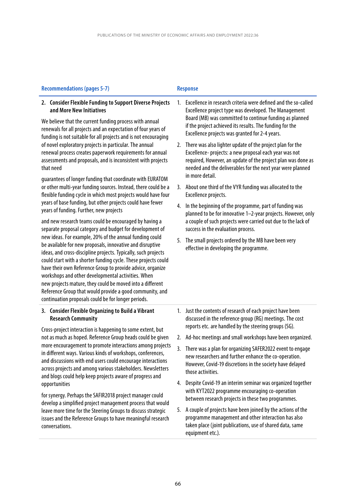### Recommendations (pages 5-7) **Response**

### **2. Consider Flexible Funding to Support Diverse Projects and More New Initiatives**

We believe that the current funding process with annual renewals for all projects and an expectation of four years of funding is not suitable for all projects and is not encouraging of novel exploratory projects in particular. The annual renewal process creates paperwork requirements for annual assessments and proposals, and is inconsistent with projects that need

guarantees of longer funding that coordinate with EURATOM or other multi-year funding sources. Instead, there could be a flexible funding cycle in which most projects would have four years of base funding, but other projects could have fewer years of funding. Further, new projects

and new research teams could be encouraged by having a separate proposal category and budget for development of new ideas. For example, 20% of the annual funding could be available for new proposals, innovative and disruptive ideas, and cross-discipline projects. Typically, such projects could start with a shorter funding cycle. These projects could have their own Reference Group to provide advice, organize workshops and other developmental activities. When new projects mature, they could be moved into a different Reference Group that would provide a good community, and continuation proposals could be for longer periods.

### **3. Consider Flexible Organizing to Build a Vibrant Research Community**

Cross-project interaction is happening to some extent, but not as much as hoped. Reference Group heads could be given more encouragement to promote interactions among projects in different ways. Various kinds of workshops, conferences, and discussions with end users could encourage interactions across projects and among various stakeholders. Newsletters and blogs could help keep projects aware of progress and opportunities

for synergy. Perhaps the SAFIR2018 project manager could develop a simplified project management process that would leave more time for the Steering Groups to discuss strategic issues and the Reference Groups to have meaningful research conversations.

- 1. Excellence in research criteria were defined and the so-called Excellence project type was developed. The Management Board (MB) was committed to continue funding as planned if the project achieved its results. The funding for the Excellence projects was granted for 2-4 years.
- 2. There was also lighter update of the project plan for the Excellence- projects: a new proposal each year was not required, However, an update of the project plan was done as needed and the deliverables for the next year were planned in more detail.
- 3. About one third of the VYR funding was allocated to the Excellence projects.
- 4. In the beginning of the programme, part of funding was planned to be for innovative 1–2-year projects. However, only a couple of such projects were carried out due to the lack of success in the evaluation process.
- 5. The small projects ordered by the MB have been very effective in developing the programme.

- 1. Just the contents of research of each project have been discussed in the reference group (RG) meetings. The cost reports etc. are handled by the steering groups (SG).
- 2. Ad-hoc meetings and small workshops have been organized.
- 3. There was a plan for organizing SAFER2022 event to engage new researchers and further enhance the co-operation. However, Covid-19 discretions in the society have delayed those activities.
- 4. Despite Covid-19 an interim seminar was organized together with KYT2022 programme encouraging co-operation between research projects in these two programmes.
- 5. A couple of projects have been joined by the actions of the programme management and other interaction has also taken place (joint publications, use of shared data, same equipment etc.).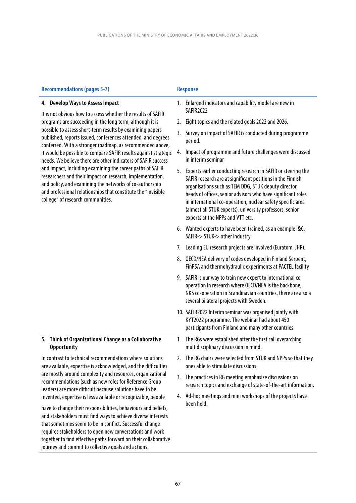| <b>Recommendations (pages 5-7)</b>                                                                                                                                                                                                                                                                                                                                                                                                                                                                                                                                                                                                                                                | <b>Response</b>                                                                                                                                                                                                                                                                                                                                                                                                         |
|-----------------------------------------------------------------------------------------------------------------------------------------------------------------------------------------------------------------------------------------------------------------------------------------------------------------------------------------------------------------------------------------------------------------------------------------------------------------------------------------------------------------------------------------------------------------------------------------------------------------------------------------------------------------------------------|-------------------------------------------------------------------------------------------------------------------------------------------------------------------------------------------------------------------------------------------------------------------------------------------------------------------------------------------------------------------------------------------------------------------------|
| 4. Develop Ways to Assess Impact<br>It is not obvious how to assess whether the results of SAFIR                                                                                                                                                                                                                                                                                                                                                                                                                                                                                                                                                                                  | Enlarged indicators and capability model are new in<br>1.<br><b>SAFIR2022</b>                                                                                                                                                                                                                                                                                                                                           |
| programs are succeeding in the long term, although it is<br>possible to assess short-term results by examining papers<br>published, reports issued, conferences attended, and degrees<br>conferred. With a stronger roadmap, as recommended above,<br>it would be possible to compare SAFIR results against strategic<br>needs. We believe there are other indicators of SAFIR success<br>and impact, including examining the career paths of SAFIR<br>researchers and their impact on research, implementation,<br>and policy, and examining the networks of co-authorship<br>and professional relationships that constitute the "invisible<br>college" of research communities. | Eight topics and the related goals 2022 and 2026.<br>2.                                                                                                                                                                                                                                                                                                                                                                 |
|                                                                                                                                                                                                                                                                                                                                                                                                                                                                                                                                                                                                                                                                                   | 3.<br>Survey on impact of SAFIR is conducted during programme<br>period.                                                                                                                                                                                                                                                                                                                                                |
|                                                                                                                                                                                                                                                                                                                                                                                                                                                                                                                                                                                                                                                                                   | Impact of programme and future challenges were discussed<br>4.<br>in interim seminar                                                                                                                                                                                                                                                                                                                                    |
|                                                                                                                                                                                                                                                                                                                                                                                                                                                                                                                                                                                                                                                                                   | Experts earlier conducting research in SAFIR or steering the<br>5.<br>SAFIR research are at significant positions in the Finnish<br>organisations such as TEM DDG, STUK deputy director,<br>heads of offices, senior advisors who have significant roles<br>in international co-operation, nuclear safety specific area<br>(almost all STUK experts), university professors, senior<br>experts at the NPPs and VTT etc. |
|                                                                                                                                                                                                                                                                                                                                                                                                                                                                                                                                                                                                                                                                                   | 6. Wanted experts to have been trained, as an example I&C,<br>SAFIR-> STUK-> other industry.                                                                                                                                                                                                                                                                                                                            |
|                                                                                                                                                                                                                                                                                                                                                                                                                                                                                                                                                                                                                                                                                   | Leading EU research projects are involved (Euratom, JHR).<br>7.                                                                                                                                                                                                                                                                                                                                                         |
|                                                                                                                                                                                                                                                                                                                                                                                                                                                                                                                                                                                                                                                                                   | 8. OECD/NEA delivery of codes developed in Finland Serpent,<br>FinPSA and thermohydraulic experiments at PACTEL facility                                                                                                                                                                                                                                                                                                |
|                                                                                                                                                                                                                                                                                                                                                                                                                                                                                                                                                                                                                                                                                   | SAFIR is our way to train new expert to international co-<br>9.<br>operation in research where OECD/NEA is the backbone,<br>NKS co-operation in Scandinavian countries, there are also a<br>several bilateral projects with Sweden.                                                                                                                                                                                     |
|                                                                                                                                                                                                                                                                                                                                                                                                                                                                                                                                                                                                                                                                                   | 10. SAFIR2022 Interim seminar was organised jointly with<br>KYT2022 programme. The webinar had about 450<br>participants from Finland and many other countries.                                                                                                                                                                                                                                                         |
| 5. Think of Organizational Change as a Collaborative<br><b>Opportunity</b>                                                                                                                                                                                                                                                                                                                                                                                                                                                                                                                                                                                                        | The RGs were established after the first call overarching<br>1.<br>multidisciplinary discussion in mind.                                                                                                                                                                                                                                                                                                                |
| In contrast to technical recommendations where solutions<br>are available, expertise is acknowledged, and the difficulties<br>are mostly around complexity and resources, organizational<br>recommendations (such as new roles for Reference Group<br>leaders) are more difficult because solutions have to be<br>invented, expertise is less available or recognizable, people<br>have to change their responsibilities, behaviours and beliefs,<br>and stakeholders must find ways to achieve diverse interests<br>that sometimes seem to be in conflict. Successful change<br>requires stakeholders to open new conversations and work                                         | 2. The RG chairs were selected from STUK and NPPs so that they<br>ones able to stimulate discussions.                                                                                                                                                                                                                                                                                                                   |
|                                                                                                                                                                                                                                                                                                                                                                                                                                                                                                                                                                                                                                                                                   | The practices in RG meeting emphasize discussions on<br>3.<br>research topics and exchange of state-of-the-art information.                                                                                                                                                                                                                                                                                             |
|                                                                                                                                                                                                                                                                                                                                                                                                                                                                                                                                                                                                                                                                                   | Ad-hoc meetings and mini workshops of the projects have<br>4.<br>been held.                                                                                                                                                                                                                                                                                                                                             |

together to find effective paths forward on their collaborative

journey and commit to collective goals and actions.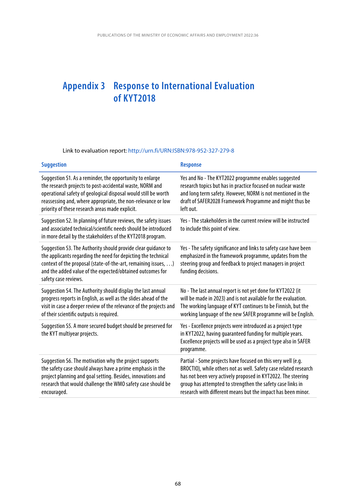## <span id="page-68-0"></span>**Appendix 3 Response to International Evaluation of KYT2018**

### Link to evaluation report:<http://urn.fi/URN:ISBN:978-952-327-279-8>

| <b>Suggestion</b>                                                                                                                                                                                                                                                                                         | <b>Response</b>                                                                                                                                                                                                                                                                                                                |
|-----------------------------------------------------------------------------------------------------------------------------------------------------------------------------------------------------------------------------------------------------------------------------------------------------------|--------------------------------------------------------------------------------------------------------------------------------------------------------------------------------------------------------------------------------------------------------------------------------------------------------------------------------|
| Suggestion S1. As a reminder, the opportunity to enlarge<br>the research projects to post-accidental waste, NORM and<br>operational safety of geological disposal would still be worth<br>reassessing and, where appropriate, the non-relevance or low<br>priority of these research areas made explicit. | Yes and No - The KYT2022 programme enables suggested<br>research topics but has in practice focused on nuclear waste<br>and long term safety. However, NORM is not mentioned in the<br>draft of SAFER2028 Framework Programme and might thus be<br>left out.                                                                   |
| Suggestion S2. In planning of future reviews, the safety issues<br>and associated technical/scientific needs should be introduced<br>in more detail by the stakeholders of the KYT2018 program.                                                                                                           | Yes - The stakeholders in the current review will be instructed<br>to include this point of view.                                                                                                                                                                                                                              |
| Suggestion S3. The Authority should provide clear guidance to<br>the applicants regarding the need for depicting the technical<br>context of the proposal (state-of-the-art, remaining issues, )<br>and the added value of the expected/obtained outcomes for<br>safety case reviews.                     | Yes - The safety significance and links to safety case have been<br>emphasized in the framework programme, updates from the<br>steering group and feedback to project managers in project<br>funding decisions.                                                                                                                |
| Suggestion S4. The Authority should display the last annual<br>progress reports in English, as well as the slides ahead of the<br>visit in case a deeper review of the relevance of the projects and<br>of their scientific outputs is required.                                                          | No - The last annual report is not yet done for KYT2022 (it<br>will be made in 2023) and is not available for the evaluation.<br>The working language of KYT continues to be Finnish, but the<br>working language of the new SAFER programme will be English.                                                                  |
| Suggestion S5. A more secured budget should be preserved for<br>the KYT multiyear projects.                                                                                                                                                                                                               | Yes - Excellence projects were introduced as a project type<br>in KYT2022, having guaranteed funding for multiple years.<br>Excellence projects will be used as a project type also in SAFER<br>programme.                                                                                                                     |
| Suggestion S6. The motivation why the project supports<br>the safety case should always have a prime emphasis in the<br>project planning and goal setting. Besides, innovations and<br>research that would challenge the WMO safety case should be<br>encouraged.                                         | Partial - Some projects have focused on this very well (e.g.<br>BROCTIO), while others not as well. Safety case related research<br>has not been very actively proposed in KYT2022. The steering<br>group has attempted to strengthen the safety case links in<br>research with different means but the impact has been minor. |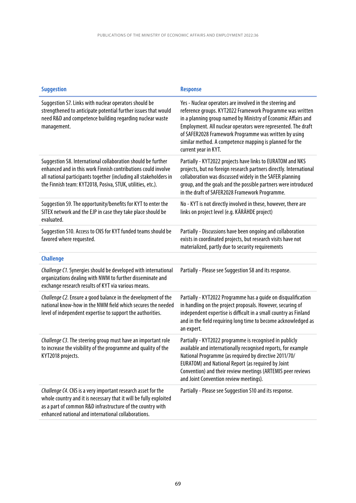| <b>Suggestion</b>                                                                                                                                                                                                                                                | <b>Response</b>                                                                                                                                                                                                                                                                                                                                                                                     |
|------------------------------------------------------------------------------------------------------------------------------------------------------------------------------------------------------------------------------------------------------------------|-----------------------------------------------------------------------------------------------------------------------------------------------------------------------------------------------------------------------------------------------------------------------------------------------------------------------------------------------------------------------------------------------------|
| Suggestion S7. Links with nuclear operators should be<br>strengthened to anticipate potential further issues that would<br>need R&D and competence building regarding nuclear waste<br>management.                                                               | Yes - Nuclear operators are involved in the steering and<br>reference groups. KYT2022 Framework Programme was written<br>in a planning group named by Ministry of Economic Affairs and<br>Employment. All nuclear operators were represented. The draft<br>of SAFER2028 Framework Programme was written by using<br>similar method. A competence mapping is planned for the<br>current year in KYT. |
| Suggestion S8. International collaboration should be further<br>enhanced and in this work Finnish contributions could involve<br>all national participants together (including all stakeholders in<br>the Finnish team: KYT2018, Posiva, STUK, utilities, etc.). | Partially - KYT2022 projects have links to EURATOM and NKS<br>projects, but no foreign research partners directly. International<br>collaboration was discussed widely in the SAFER planning<br>group, and the goals and the possible partners were introduced<br>in the draft of SAFER2028 Framework Programme.                                                                                    |
| Suggestion S9. The opportunity/benefits for KYT to enter the<br>SITEX network and the EJP in case they take place should be<br>evaluated.                                                                                                                        | No - KYT is not directly involved in these, however, there are<br>links on project level (e.g. KÄRÄHDE project)                                                                                                                                                                                                                                                                                     |
| Suggestion S10. Access to CNS for KYT funded teams should be<br>favored where requested.                                                                                                                                                                         | Partially - Discussions have been ongoing and collaboration<br>exists in coordinated projects, but research visits have not<br>materialized, partly due to security requirements                                                                                                                                                                                                                    |
| <b>Challenge</b>                                                                                                                                                                                                                                                 |                                                                                                                                                                                                                                                                                                                                                                                                     |
| Challenge C1. Synergies should be developed with international<br>organizations dealing with NWM to further disseminate and<br>exchange research results of KYT via various means.                                                                               | Partially - Please see Suggestion S8 and its response.                                                                                                                                                                                                                                                                                                                                              |
| Challenge C2. Ensure a good balance in the development of the<br>national know-how in the NWM field which secures the needed<br>level of independent expertise to support the authorities.                                                                       | Partially - KYT2022 Programme has a guide on disqualification<br>in handling on the project proposals. However, securing of<br>independent expertise is difficult in a small country as Finland<br>and in the field requiring long time to become acknowledged as<br>an expert.                                                                                                                     |
| Challenge C3. The steering group must have an important role<br>to increase the visibility of the programme and quality of the<br>KYT2018 projects.                                                                                                              | Partially - KYT2022 programme is recognised in publicly<br>available and internationally recognised reports, for example<br>National Programme (as required by directive 2011/70/<br>EURATOM) and National Report (as required by Joint<br>Convention) and their review meetings (ARTEMIS peer reviews<br>and Joint Convention review meetings).                                                    |
| Challenge C4. CNS is a very important research asset for the<br>whole country and it is necessary that it will be fully exploited<br>as a part of common R&D infrastructure of the country with<br>enhanced national and international collaborations.           | Partially - Please see Suggestion S10 and its response.                                                                                                                                                                                                                                                                                                                                             |